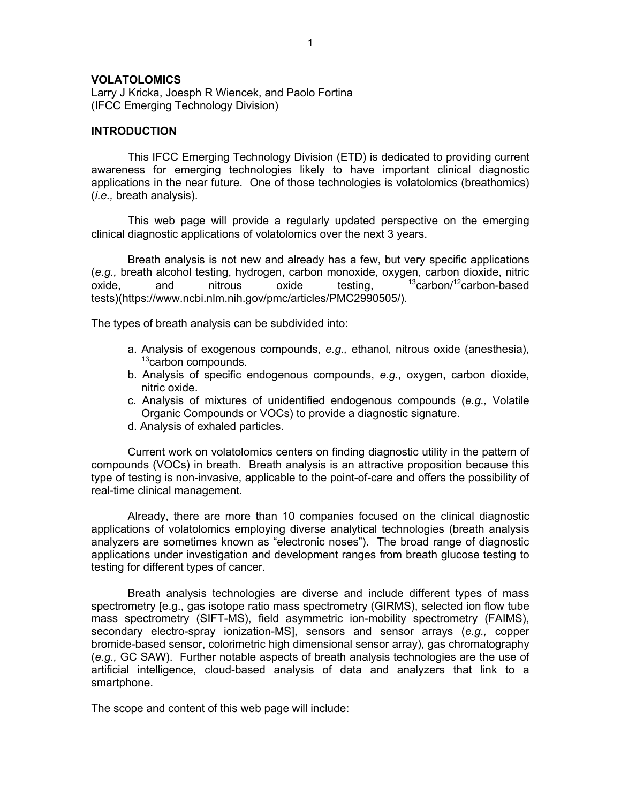#### **VOLATOLOMICS**

Larry J Kricka, Joesph R Wiencek, and Paolo Fortina (IFCC Emerging Technology Division)

#### **INTRODUCTION**

This IFCC Emerging Technology Division (ETD) is dedicated to providing current awareness for emerging technologies likely to have important clinical diagnostic applications in the near future. One of those technologies is volatolomics (breathomics) (*i.e.,* breath analysis).

This web page will provide a regularly updated perspective on the emerging clinical diagnostic applications of volatolomics over the next 3 years.

Breath analysis is not new and already has a few, but very specific applications (*e.g.,* breath alcohol testing, hydrogen, carbon monoxide, oxygen, carbon dioxide, nitric oxide, and nitrous oxide testing,  $13$ carbon/ $12$ carbon-based tests)(https://www.ncbi.nlm.nih.gov/pmc/articles/PMC2990505/).

The types of breath analysis can be subdivided into:

- a. Analysis of exogenous compounds, *e.g.,* ethanol, nitrous oxide (anesthesia),  $13$ carbon compounds.
- b. Analysis of specific endogenous compounds, *e.g.,* oxygen, carbon dioxide, nitric oxide.
- c. Analysis of mixtures of unidentified endogenous compounds (*e.g.,* Volatile Organic Compounds or VOCs) to provide a diagnostic signature.
- d. Analysis of exhaled particles.

Current work on volatolomics centers on finding diagnostic utility in the pattern of compounds (VOCs) in breath. Breath analysis is an attractive proposition because this type of testing is non-invasive, applicable to the point-of-care and offers the possibility of real-time clinical management.

Already, there are more than 10 companies focused on the clinical diagnostic applications of volatolomics employing diverse analytical technologies (breath analysis analyzers are sometimes known as "electronic noses"). The broad range of diagnostic applications under investigation and development ranges from breath glucose testing to testing for different types of cancer.

Breath analysis technologies are diverse and include different types of mass spectrometry [e.g., gas isotope ratio mass spectrometry (GIRMS), selected ion flow tube mass spectrometry (SIFT-MS), field asymmetric ion-mobility spectrometry (FAIMS), secondary electro-spray ionization-MS], sensors and sensor arrays (*e.g.,* copper bromide-based sensor, colorimetric high dimensional sensor array), gas chromatography (*e.g.,* GC SAW). Further notable aspects of breath analysis technologies are the use of artificial intelligence, cloud-based analysis of data and analyzers that link to a smartphone.

The scope and content of this web page will include: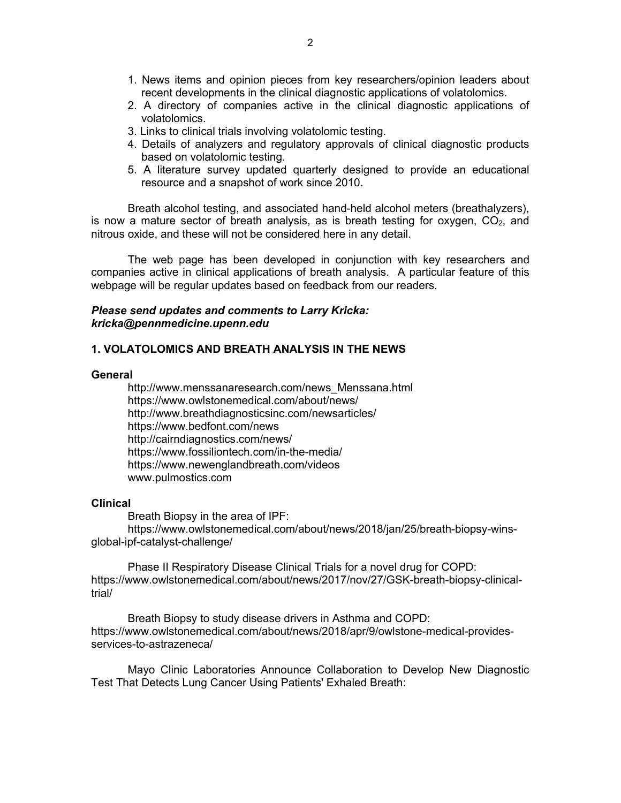- 1. News items and opinion pieces from key researchers/opinion leaders about recent developments in the clinical diagnostic applications of volatolomics.
- 2. A directory of companies active in the clinical diagnostic applications of volatolomics.
- 3. Links to clinical trials involving volatolomic testing.
- 4. Details of analyzers and regulatory approvals of clinical diagnostic products based on volatolomic testing.
- 5. A literature survey updated quarterly designed to provide an educational resource and a snapshot of work since 2010.

Breath alcohol testing, and associated hand-held alcohol meters (breathalyzers), is now a mature sector of breath analysis, as is breath testing for oxygen,  $CO<sub>2</sub>$ , and nitrous oxide, and these will not be considered here in any detail.

The web page has been developed in conjunction with key researchers and companies active in clinical applications of breath analysis. A particular feature of this webpage will be regular updates based on feedback from our readers.

#### *Please send updates and comments to Larry Kricka: kricka@pennmedicine.upenn.edu*

#### **1. VOLATOLOMICS AND BREATH ANALYSIS IN THE NEWS**

#### **General**

http://www.menssanaresearch.com/news\_Menssana.html https://www.owlstonemedical.com/about/news/ http://www.breathdiagnosticsinc.com/newsarticles/ https://www.bedfont.com/news http://cairndiagnostics.com/news/ https://www.fossiliontech.com/in-the-media/ https://www.newenglandbreath.com/videos www.pulmostics.com

#### **Clinical**

Breath Biopsy in the area of IPF: https://www.owlstonemedical.com/about/news/2018/jan/25/breath-biopsy-winsglobal-ipf-catalyst-challenge/

Phase II Respiratory Disease Clinical Trials for a novel drug for COPD: https://www.owlstonemedical.com/about/news/2017/nov/27/GSK-breath-biopsy-clinicaltrial/

Breath Biopsy to study disease drivers in Asthma and COPD: https://www.owlstonemedical.com/about/news/2018/apr/9/owlstone-medical-providesservices-to-astrazeneca/

Mayo Clinic Laboratories Announce Collaboration to Develop New Diagnostic Test That Detects Lung Cancer Using Patients' Exhaled Breath: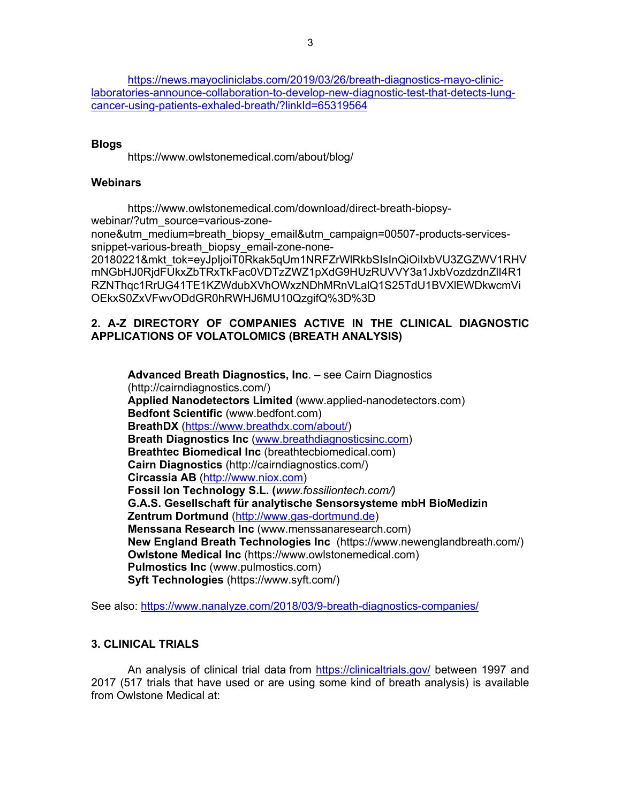https://news.mayocliniclabs.com/2019/03/26/breath-diagnostics-mayo-cliniclaboratories-announce-collaboration-to-develop-new-diagnostic-test-that-detects-lungcancer-using-patients-exhaled-breath/?linkId=65319564

#### **Blogs**

https://www.owlstonemedical.com/about/blog/

#### **Webinars**

https://www.owlstonemedical.com/download/direct-breath-biopsywebinar/?utm\_source=various-zonenone&utm\_medium=breath\_biopsy\_email&utm\_campaign=00507-products-servicessnippet-various-breath biopsy email-zone-none-20180221&mkt\_tok=eyJpIjoiT0Rkak5qUm1NRFZrWlRkbSIsInQiOiIxbVU3ZGZWV1RHV mNGbHJ0RjdFUkxZbTRxTkFac0VDTzZWZ1pXdG9HUzRUVVY3a1JxbVozdzdnZlI4R1 RZNThqc1RrUG41TE1KZWdubXVhOWxzNDhMRnVLalQ1S25TdU1BVXlEWDkwcmVi OEkxS0ZxVFwvODdGR0hRWHJ6MU10QzgifQ%3D%3D

# **2. A-Z DIRECTORY OF COMPANIES ACTIVE IN THE CLINICAL DIAGNOSTIC APPLICATIONS OF VOLATOLOMICS (BREATH ANALYSIS)**

**Advanced Breath Diagnostics, Inc**. – see Cairn Diagnostics (http://cairndiagnostics.com/) **Applied Nanodetectors Limited** (www.applied-nanodetectors.com) **Bedfont Scientific** (www.bedfont.com) **BreathDX** (https://www.breathdx.com/about/) **Breath Diagnostics Inc** (www.breathdiagnosticsinc.com) **Breathtec Biomedical Inc** (breathtecbiomedical.com) **Cairn Diagnostics** (http://cairndiagnostics.com/) **Circassia AB** (http://www.niox.com) **Fossil Ion Technology S.L. (***www.fossiliontech.com/)* **G.A.S. Gesellschaft für analytische Sensorsysteme mbH BioMedizin Zentrum Dortmund** (http://www.gas-dortmund.de) **Menssana Research Inc** (www.menssanaresearch.com) **New England Breath Technologies Inc** (https://www.newenglandbreath.com/) **Owlstone Medical Inc** (https://www.owlstonemedical.com) **Pulmostics Inc** (www.pulmostics.com) **Syft Technologies** (https://www.syft.com/)

See also: https://www.nanalyze.com/2018/03/9-breath-diagnostics-companies/

## **3. CLINICAL TRIALS**

An analysis of clinical trial data from https://clinicaltrials.gov/ between 1997 and 2017 (517 trials that have used or are using some kind of breath analysis) is available from Owlstone Medical at: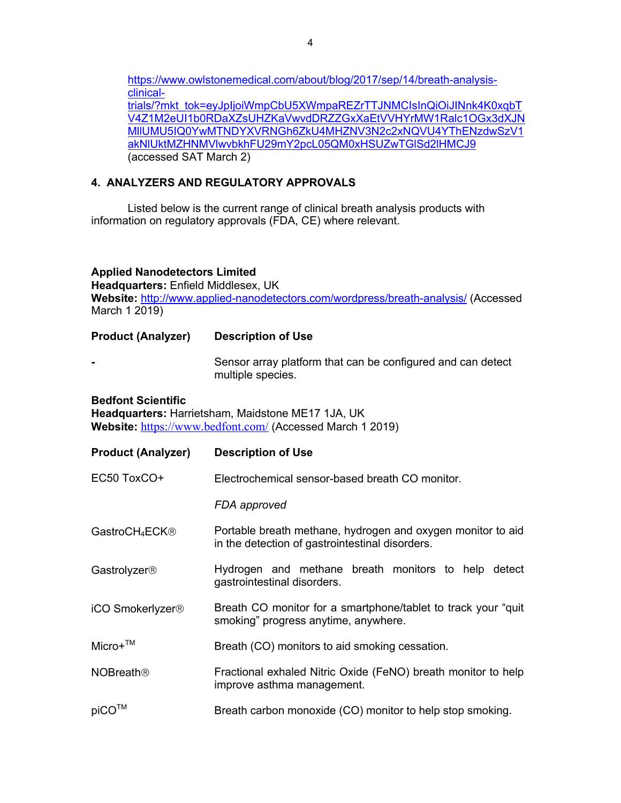https://www.owlstonemedical.com/about/blog/2017/sep/14/breath-analysisclinicaltrials/?mkt\_tok=eyJpIjoiWmpCbU5XWmpaREZrTTJNMCIsInQiOiJINnk4K0xqbT V4Z1M2eUI1b0RDaXZsUHZKaVwvdDRZZGxXaEtVVHYrMW1Ralc1OGx3dXJN MllUMU5IQ0YwMTNDYXVRNGh6ZkU4MHZNV3N2c2xNQVU4YThENzdwSzV1 akNlUktMZHNMVlwvbkhFU29mY2pcL05QM0xHSUZwTGlSd2lHMCJ9 (accessed SAT March 2)

# **4. ANALYZERS AND REGULATORY APPROVALS**

Listed below is the current range of clinical breath analysis products with information on regulatory approvals (FDA, CE) where relevant.

# **Applied Nanodetectors Limited**

**Headquarters:** Enfield Middlesex, UK **Website:** http://www.applied-nanodetectors.com/wordpress/breath-analysis/ (Accessed March 1 2019)

| <b>Product (Analyzer)</b>                                                                                                                   | <b>Description of Use</b>                                                                                      |  |  |
|---------------------------------------------------------------------------------------------------------------------------------------------|----------------------------------------------------------------------------------------------------------------|--|--|
| $\blacksquare$                                                                                                                              | Sensor array platform that can be configured and can detect<br>multiple species.                               |  |  |
| <b>Bedfont Scientific</b><br>Headquarters: Harrietsham, Maidstone ME17 1JA, UK<br>Website: https://www.bedfont.com/ (Accessed March 1 2019) |                                                                                                                |  |  |
| <b>Product (Analyzer)</b>                                                                                                                   | <b>Description of Use</b>                                                                                      |  |  |
| EC50 ToxCO+                                                                                                                                 | Electrochemical sensor-based breath CO monitor.                                                                |  |  |
|                                                                                                                                             | FDA approved                                                                                                   |  |  |
| GastroCH <sub>4</sub> ECK <sup>®</sup>                                                                                                      | Portable breath methane, hydrogen and oxygen monitor to aid<br>in the detection of gastrointestinal disorders. |  |  |
| Gastrolyzer <sup>®</sup>                                                                                                                    | Hydrogen and methane breath monitors to help detect<br>gastrointestinal disorders.                             |  |  |
| iCO Smokerlyzer <sup>®</sup>                                                                                                                | Breath CO monitor for a smartphone/tablet to track your "quit<br>smoking" progress anytime, anywhere.          |  |  |
| $Micro+TM$                                                                                                                                  | Breath (CO) monitors to aid smoking cessation.                                                                 |  |  |
| NOBreath <sup>®</sup>                                                                                                                       | Fractional exhaled Nitric Oxide (FeNO) breath monitor to help<br>improve asthma management.                    |  |  |
| piCO™                                                                                                                                       | Breath carbon monoxide (CO) monitor to help stop smoking.                                                      |  |  |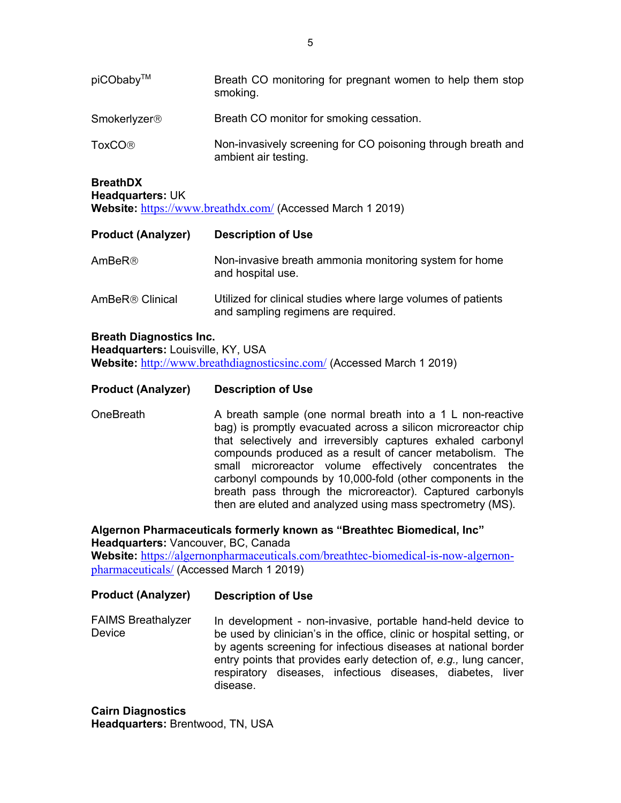| piCObaby™                                                                                                                                    | Breath CO monitoring for pregnant women to help them stop<br>smoking.                                |  |
|----------------------------------------------------------------------------------------------------------------------------------------------|------------------------------------------------------------------------------------------------------|--|
| Smokerlyzer <sup>®</sup>                                                                                                                     | Breath CO monitor for smoking cessation.                                                             |  |
| <b>ToxCO®</b>                                                                                                                                | Non-invasively screening for CO poisoning through breath and<br>ambient air testing.                 |  |
| <b>BreathDX</b><br>Headquarters: UK                                                                                                          | Website: https://www.breathdx.com/ (Accessed March 1 2019)                                           |  |
| <b>Product (Analyzer)</b>                                                                                                                    | <b>Description of Use</b>                                                                            |  |
| AmBeR®                                                                                                                                       | Non-invasive breath ammonia monitoring system for home<br>and hospital use.                          |  |
| AmBeR <sup>®</sup> Clinical                                                                                                                  | Utilized for clinical studies where large volumes of patients<br>and sampling regimens are required. |  |
| <b>Breath Diagnostics Inc.</b><br>Headquarters: Louisville, KY, USA<br>Website: http://www.breathdiagnosticsinc.com/ (Accessed March 1 2019) |                                                                                                      |  |
| <b>Product (Analyzer)</b>                                                                                                                    | <b>Description of Use</b>                                                                            |  |
| OneBreath                                                                                                                                    | A breath sample (one normal breath into a 1 L non-reactive                                           |  |

**OneBreath** A breath sample (one normal breath into a 1 L non-reactive bag) is promptly evacuated across a silicon microreactor chip that selectively and irreversibly captures exhaled carbonyl compounds produced as a result of cancer metabolism. The small microreactor volume effectively concentrates the carbonyl compounds by 10,000-fold (other components in the breath pass through the microreactor). Captured carbonyls then are eluted and analyzed using mass spectrometry (MS).

**Algernon Pharmaceuticals formerly known as "Breathtec Biomedical, Inc" Headquarters:** Vancouver, BC, Canada

**Website:** https://algernonpharmaceuticals.com/breathtec-biomedical-is-now-algernonpharmaceuticals/ (Accessed March 1 2019)

#### **Product (Analyzer) Description of Use**

FAIMS Breathalyzer Device In development - non-invasive, portable hand-held device to be used by clinician's in the office, clinic or hospital setting, or by agents screening for infectious diseases at national border entry points that provides early detection of, *e.g.,* lung cancer, respiratory diseases, infectious diseases, diabetes, liver disease.

**Cairn Diagnostics Headquarters:** Brentwood, TN, USA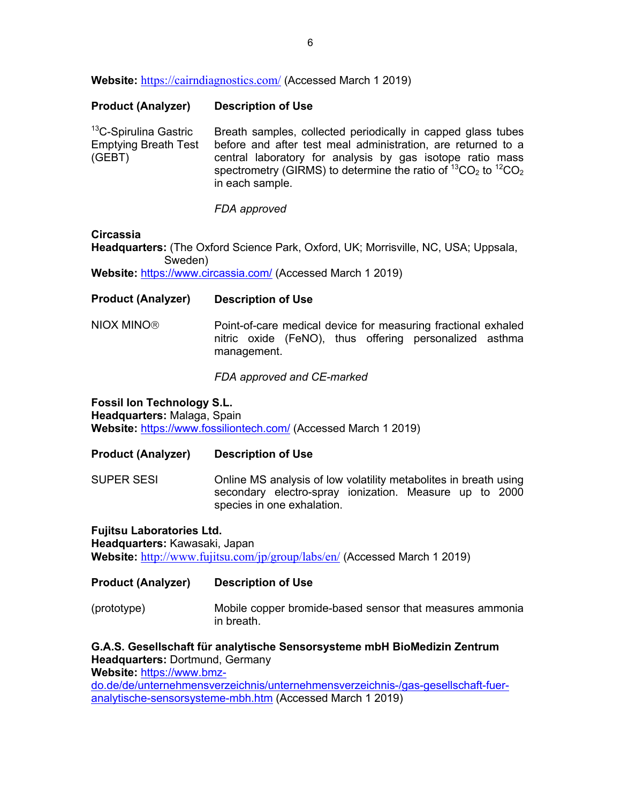**Website:** https://cairndiagnostics.com/ (Accessed March 1 2019)

| <b>Product (Analyzer)</b>                                                  | <b>Description of Use</b>                                                                                                                                                                                                                                                                     |
|----------------------------------------------------------------------------|-----------------------------------------------------------------------------------------------------------------------------------------------------------------------------------------------------------------------------------------------------------------------------------------------|
| <sup>13</sup> C-Spirulina Gastric<br><b>Emptying Breath Test</b><br>(GEBT) | Breath samples, collected periodically in capped glass tubes<br>before and after test meal administration, are returned to a<br>central laboratory for analysis by gas isotope ratio mass<br>spectrometry (GIRMS) to determine the ratio of ${}^{13}CO_2$ to ${}^{12}CO_2$<br>in each sample. |

*FDA approved*

#### **Circassia**

**Headquarters:** (The Oxford Science Park, Oxford, UK; Morrisville, NC, USA; Uppsala, Sweden)

Website: https://www.circassia.com/ (Accessed March 1 2019)

#### **Product (Analyzer) Description of Use**

NIOX MINOâ Point-of-care medical device for measuring fractional exhaled nitric oxide (FeNO), thus offering personalized asthma management.

#### *FDA approved and CE-marked*

**Fossil Ion Technology S.L. Headquarters:** Malaga, Spain **Website:** https://www.fossiliontech.com/ (Accessed March 1 2019)

#### **Product (Analyzer) Description of Use**

SUPER SESI Online MS analysis of low volatility metabolites in breath using secondary electro-spray ionization. Measure up to 2000 species in one exhalation.

**Fujitsu Laboratories Ltd. Headquarters:** Kawasaki, Japan **Website:** http://www.fujitsu.com/jp/group/labs/en/ (Accessed March 1 2019)

**Product (Analyzer) Description of Use**

(prototype) Mobile copper bromide-based sensor that measures ammonia in breath.

**G.A.S. Gesellschaft für analytische Sensorsysteme mbH BioMedizin Zentrum Headquarters:** Dortmund, Germany **Website:** https://www.bmzdo.de/de/unternehmensverzeichnis/unternehmensverzeichnis-/gas-gesellschaft-fuer-

analytische-sensorsysteme-mbh.htm (Accessed March 1 2019)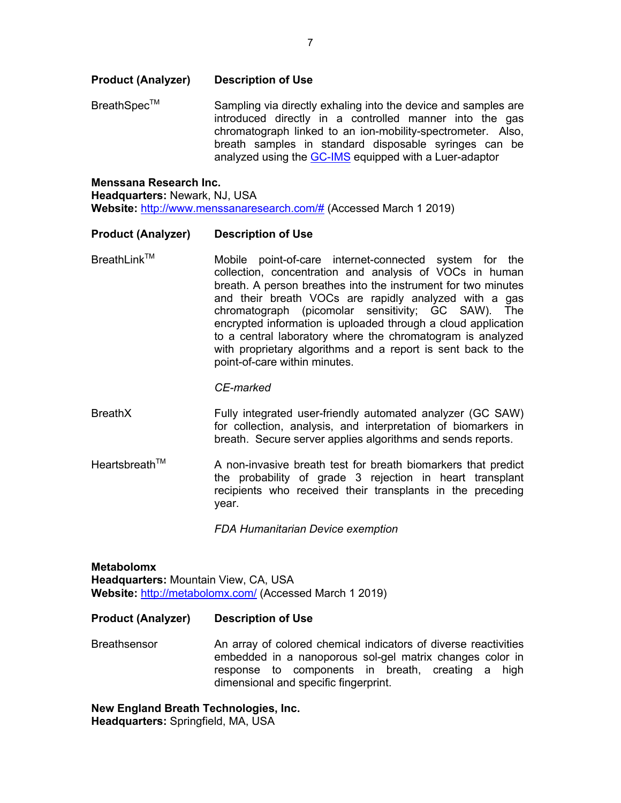#### **Product (Analyzer) Description of Use**

BreathSpecTM Sampling via directly exhaling into the device and samples are introduced directly in a controlled manner into the gas chromatograph linked to an ion-mobility-spectrometer. Also, breath samples in standard disposable syringes can be analyzed using the GC-IMS equipped with a Luer-adaptor

#### **Menssana Research Inc. Headquarters:** Newark, NJ, USA **Website:** http://www.menssanaresearch.com/# (Accessed March 1 2019)

#### **Product (Analyzer) Description of Use**

Breathl in $k^{TM}$ Mobile point-of-care internet-connected system for the collection, concentration and analysis of VOCs in human breath. A person breathes into the instrument for two minutes and their breath VOCs are rapidly analyzed with a gas chromatograph (picomolar sensitivity; GC SAW). The encrypted information is uploaded through a cloud application to a central laboratory where the chromatogram is analyzed with proprietary algorithms and a report is sent back to the point-of-care within minutes.

#### *CE-marked*

- BreathX Fully integrated user-friendly automated analyzer (GC SAW) for collection, analysis, and interpretation of biomarkers in breath. Secure server applies algorithms and sends reports.
- Heartsbreath<sup>TM</sup> A non-invasive breath test for breath biomarkers that predict the probability of grade 3 rejection in heart transplant recipients who received their transplants in the preceding year.

*FDA Humanitarian Device exemption*

**Metabolomx Headquarters:** Mountain View, CA, USA **Website:** http://metabolomx.com/ (Accessed March 1 2019)

#### **Product (Analyzer) Description of Use**

**Breathsensor** An array of colored chemical indicators of diverse reactivities embedded in a nanoporous sol-gel matrix changes color in response to components in breath, creating a high dimensional and specific fingerprint.

**New England Breath Technologies, Inc. Headquarters:** Springfield, MA, USA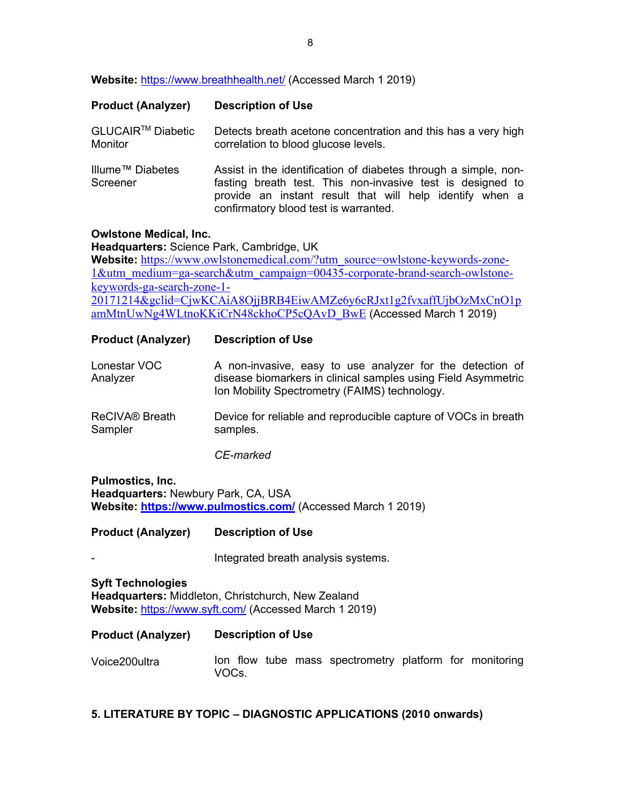**Website:** https://www.breathhealth.net/ (Accessed March 1 2019)

| <b>Product (Analyzer)</b>                | <b>Description of Use</b>                                                                                                                                                                                                          |
|------------------------------------------|------------------------------------------------------------------------------------------------------------------------------------------------------------------------------------------------------------------------------------|
| GLUCAIR <sup>™</sup> Diabetic<br>Monitor | Detects breath acetone concentration and this has a very high<br>correlation to blood glucose levels.                                                                                                                              |
| Illume <sup>™</sup> Diabetes<br>Screener | Assist in the identification of diabetes through a simple, non-<br>fasting breath test. This non-invasive test is designed to<br>provide an instant result that will help identify when a<br>confirmatory blood test is warranted. |

#### **Owlstone Medical, Inc.**

**Headquarters:** Science Park, Cambridge, UK **Website:** https://www.owlstonemedical.com/?utm\_source=owlstone-keywords-zone-1&utm\_medium=ga-search&utm\_campaign=00435-corporate-brand-search-owlstonekeywords-ga-search-zone-1- 20171214&gclid=CjwKCAiA8OjjBRB4EiwAMZe6y6cRJxt1g2fvxaffUjbOzMxCnO1p amMtnUwNg4WLtnoKKiCrN48ckhoCP5cQAvD\_BwE (Accessed March 1 2019)

#### **Product (Analyzer) Description of Use**

| Lonestar VOC | A non-invasive, easy to use analyzer for the detection of     |  |  |  |
|--------------|---------------------------------------------------------------|--|--|--|
| Analyzer     | disease biomarkers in clinical samples using Field Asymmetric |  |  |  |
|              | Ion Mobility Spectrometry (FAIMS) technology.                 |  |  |  |

ReCIVA® Breath Sampler Device for reliable and reproducible capture of VOCs in breath samples.

*CE-marked*

**Pulmostics, Inc. Headquarters:** Newbury Park, CA, USA Website: https://www.pulmostics.com/ (Accessed March 1 2019)

**Product (Analyzer) Description of Use**

-

Integrated breath analysis systems.

**Syft Technologies Headquarters:** Middleton, Christchurch, New Zealand **Website:** https://www.syft.com/ (Accessed March 1 2019)

| <b>Product (Analyzer)</b> | <b>Description of Use</b>                                        |
|---------------------------|------------------------------------------------------------------|
| Voice200ultra             | lon flow tube mass spectrometry platform for monitoring<br>VOCs. |

#### **5. LITERATURE BY TOPIC – DIAGNOSTIC APPLICATIONS (2010 onwards)**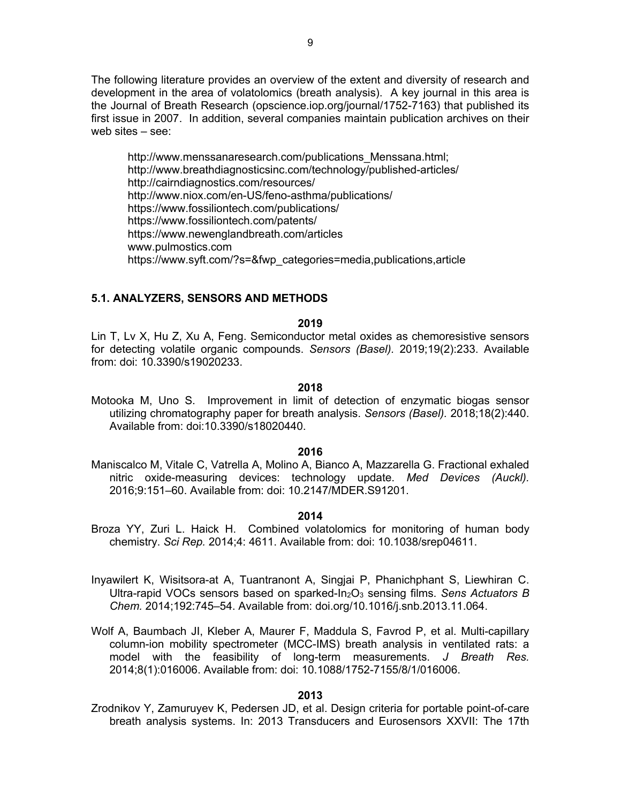The following literature provides an overview of the extent and diversity of research and development in the area of volatolomics (breath analysis). A key journal in this area is the Journal of Breath Research (opscience.iop.org/journal/1752-7163) that published its first issue in 2007. In addition, several companies maintain publication archives on their web sites – see:

http://www.menssanaresearch.com/publications\_Menssana.html; http://www.breathdiagnosticsinc.com/technology/published-articles/ http://cairndiagnostics.com/resources/ http://www.niox.com/en-US/feno-asthma/publications/ https://www.fossiliontech.com/publications/ https://www.fossiliontech.com/patents/ https://www.newenglandbreath.com/articles www.pulmostics.com https://www.syft.com/?s=&fwp\_categories=media,publications,article

## **5.1. ANALYZERS, SENSORS AND METHODS**

#### **2019**

Lin T, Lv X, Hu Z, Xu A, Feng. Semiconductor metal oxides as chemoresistive sensors for detecting volatile organic compounds. *Sensors (Basel).* 2019;19(2):233. Available from: doi: 10.3390/s19020233.

#### **2018**

Motooka M, Uno S. Improvement in limit of detection of enzymatic biogas sensor utilizing chromatography paper for breath analysis. *Sensors (Basel).* 2018;18(2):440. Available from: doi:10.3390/s18020440.

#### **2016**

Maniscalco M, Vitale C, Vatrella A, Molino A, Bianco A, Mazzarella G. Fractional exhaled nitric oxide-measuring devices: technology update. *Med Devices (Auckl).* 2016;9:151–60. Available from: doi: 10.2147/MDER.S91201.

#### **2014**

- Broza YY, Zuri L. Haick H. Combined volatolomics for monitoring of human body chemistry. *Sci Rep.* 2014;4: 4611. Available from: doi: 10.1038/srep04611.
- Inyawilert K, Wisitsora-at A, Tuantranont A, Singjai P, Phanichphant S, Liewhiran C. Ultra-rapid VOCs sensors based on sparked-In2O3 sensing films. *Sens Actuators B Chem.* 2014;192:745–54. Available from: doi.org/10.1016/j.snb.2013.11.064.
- Wolf A, Baumbach JI, Kleber A, Maurer F, Maddula S, Favrod P, et al. Multi-capillary column-ion mobility spectrometer (MCC-IMS) breath analysis in ventilated rats: a model with the feasibility of long-term measurements. *J Breath Res.* 2014;8(1):016006. Available from: doi: 10.1088/1752-7155/8/1/016006.

#### **2013**

Zrodnikov Y, Zamuruyev K, Pedersen JD, et al. Design criteria for portable point-of-care breath analysis systems. In: 2013 Transducers and Eurosensors XXVII: The 17th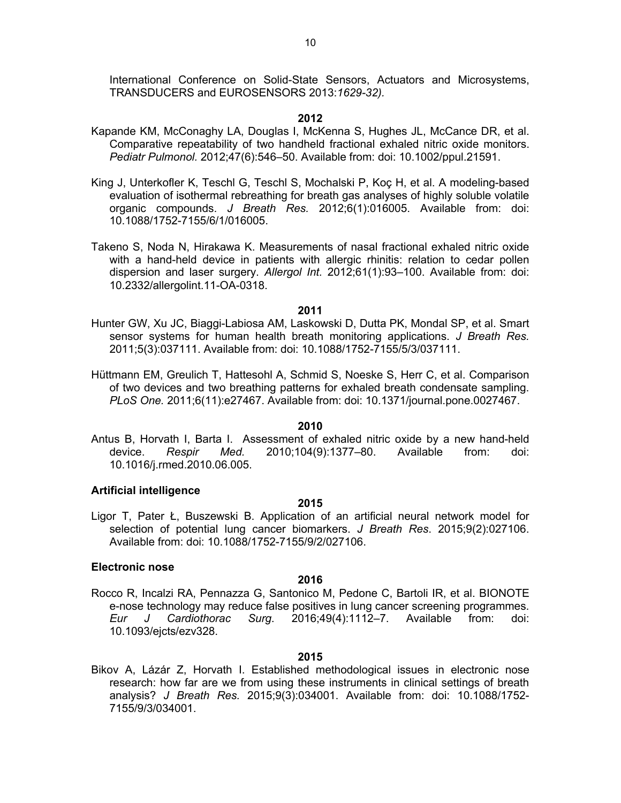International Conference on Solid-State Sensors, Actuators and Microsystems, TRANSDUCERS and EUROSENSORS 2013:*1629-32).* 

#### **2012**

- Kapande KM, McConaghy LA, Douglas I, McKenna S, Hughes JL, McCance DR, et al. Comparative repeatability of two handheld fractional exhaled nitric oxide monitors. *Pediatr Pulmonol.* 2012;47(6):546–50. Available from: doi: 10.1002/ppul.21591.
- King J, Unterkofler K, Teschl G, Teschl S, Mochalski P, Koç H, et al. A modeling-based evaluation of isothermal rebreathing for breath gas analyses of highly soluble volatile organic compounds. *J Breath Res.* 2012;6(1):016005. Available from: doi: 10.1088/1752-7155/6/1/016005.
- Takeno S, Noda N, Hirakawa K. Measurements of nasal fractional exhaled nitric oxide with a hand-held device in patients with allergic rhinitis: relation to cedar pollen dispersion and laser surgery. *Allergol Int.* 2012;61(1):93–100. Available from: doi: 10.2332/allergolint.11-OA-0318.

#### **2011**

- Hunter GW, Xu JC, Biaggi-Labiosa AM, Laskowski D, Dutta PK, Mondal SP, et al. Smart sensor systems for human health breath monitoring applications. *J Breath Res.* 2011;5(3):037111. Available from: doi: 10.1088/1752-7155/5/3/037111.
- Hüttmann EM, Greulich T, Hattesohl A, Schmid S, Noeske S, Herr C, et al. Comparison of two devices and two breathing patterns for exhaled breath condensate sampling. *PLoS One.* 2011;6(11):e27467. Available from: doi: 10.1371/journal.pone.0027467.

#### **2010**

Antus B, Horvath I, Barta I. Assessment of exhaled nitric oxide by a new hand-held device. *Respir Med.* 2010;104(9):1377–80. Available from: doi: 10.1016/j.rmed.2010.06.005.

#### **Artificial intelligence**

#### **2015**

Ligor T, Pater Ł, Buszewski B. Application of an artificial neural network model for selection of potential lung cancer biomarkers. *J Breath Res*. 2015;9(2):027106. Available from: doi: 10.1088/1752-7155/9/2/027106.

#### **Electronic nose**

#### **2016**

Rocco R, Incalzi RA, Pennazza G, Santonico M, Pedone C, Bartoli IR, et al. BIONOTE e-nose technology may reduce false positives in lung cancer screening programmes. *Eur J Cardiothorac Surg*. 2016;49(4):1112–7. Available from: doi: 10.1093/ejcts/ezv328.

#### **2015**

Bikov A, Lázár Z, Horvath I. Established methodological issues in electronic nose research: how far are we from using these instruments in clinical settings of breath analysis? *J Breath Res.* 2015;9(3):034001. Available from: doi: 10.1088/1752- 7155/9/3/034001.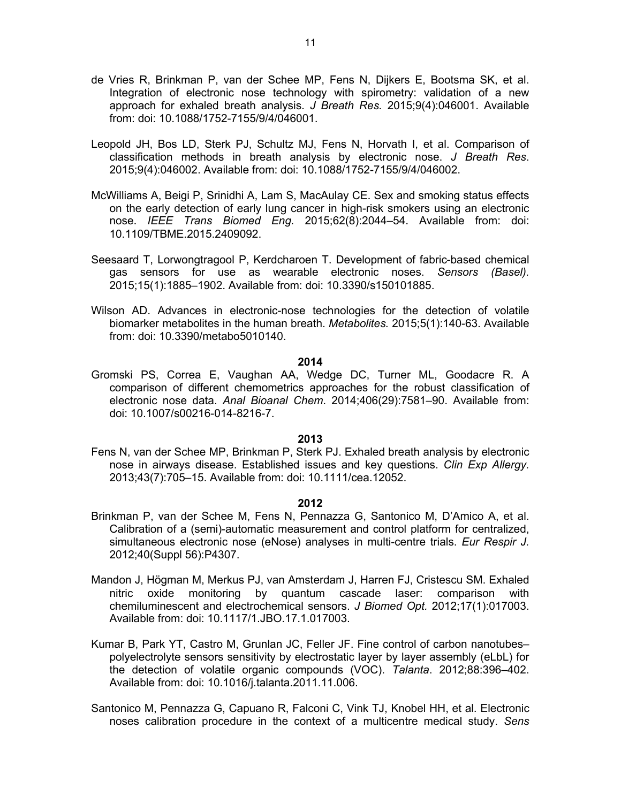- de Vries R, Brinkman P, van der Schee MP, Fens N, Dijkers E, Bootsma SK, et al. Integration of electronic nose technology with spirometry: validation of a new approach for exhaled breath analysis. *J Breath Res.* 2015;9(4):046001. Available from: doi: 10.1088/1752-7155/9/4/046001.
- Leopold JH, Bos LD, Sterk PJ, Schultz MJ, Fens N, Horvath I, et al. Comparison of classification methods in breath analysis by electronic nose. *J Breath Res*. 2015;9(4):046002. Available from: doi: 10.1088/1752-7155/9/4/046002.
- McWilliams A, Beigi P, Srinidhi A, Lam S, MacAulay CE. Sex and smoking status effects on the early detection of early lung cancer in high-risk smokers using an electronic nose. *IEEE Trans Biomed Eng.* 2015;62(8):2044–54. Available from: doi: 10.1109/TBME.2015.2409092.
- Seesaard T, Lorwongtragool P, Kerdcharoen T. Development of fabric-based chemical gas sensors for use as wearable electronic noses. *Sensors (Basel).* 2015;15(1):1885–1902. Available from: doi: 10.3390/s150101885.
- Wilson AD. Advances in electronic-nose technologies for the detection of volatile biomarker metabolites in the human breath. *Metabolites.* 2015;5(1):140-63. Available from: doi: 10.3390/metabo5010140.

Gromski PS, Correa E, Vaughan AA, Wedge DC, Turner ML, Goodacre R. A comparison of different chemometrics approaches for the robust classification of electronic nose data. *Anal Bioanal Chem*. 2014;406(29):7581–90. Available from: doi: 10.1007/s00216-014-8216-7.

#### **2013**

Fens N, van der Schee MP, Brinkman P, Sterk PJ. Exhaled breath analysis by electronic nose in airways disease. Established issues and key questions. *Clin Exp Allergy.* 2013;43(7):705–15. Available from: doi: 10.1111/cea.12052.

- Brinkman P, van der Schee M, Fens N, Pennazza G, Santonico M, D'Amico A, et al. Calibration of a (semi)-automatic measurement and control platform for centralized, simultaneous electronic nose (eNose) analyses in multi-centre trials. *Eur Respir J.* 2012;40(Suppl 56):P4307.
- Mandon J, Högman M, Merkus PJ, van Amsterdam J, Harren FJ, Cristescu SM. Exhaled nitric oxide monitoring by quantum cascade laser: comparison with chemiluminescent and electrochemical sensors. *J Biomed Opt.* 2012;17(1):017003. Available from: doi: 10.1117/1.JBO.17.1.017003.
- Kumar B, Park YT, Castro M, Grunlan JC, Feller JF. Fine control of carbon nanotubes– polyelectrolyte sensors sensitivity by electrostatic layer by layer assembly (eLbL) for the detection of volatile organic compounds (VOC). *Talanta*. 2012;88:396–402. Available from: doi: 10.1016/j.talanta.2011.11.006.
- Santonico M, Pennazza G, Capuano R, Falconi C, Vink TJ, Knobel HH, et al. Electronic noses calibration procedure in the context of a multicentre medical study. *Sens*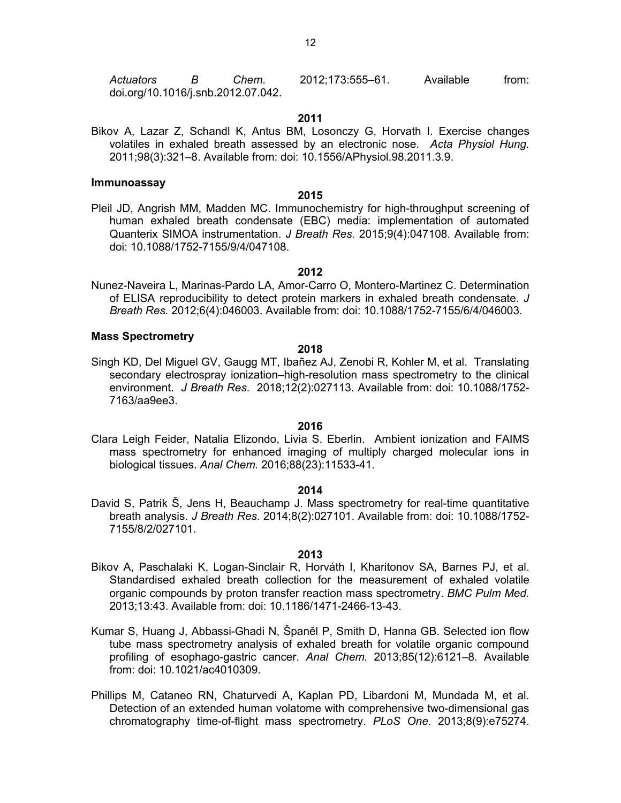*Actuators B Chem*. 2012;173:555–61. Available from: doi.org/10.1016/j.snb.2012.07.042.

#### **2011**

Bikov A, Lazar Z, Schandl K, Antus BM, Losonczy G, Horvath I. Exercise changes volatiles in exhaled breath assessed by an electronic nose. *Acta Physiol Hung.* 2011;98(3):321–8. Available from: doi: 10.1556/APhysiol.98.2011.3.9.

#### **Immunoassay**

#### **2015**

Pleil JD, Angrish MM, Madden MC. Immunochemistry for high-throughput screening of human exhaled breath condensate (EBC) media: implementation of automated Quanterix SIMOA instrumentation. *J Breath Res.* 2015;9(4):047108. Available from: doi: 10.1088/1752-7155/9/4/047108.

#### **2012**

Nunez-Naveira L, Marinas-Pardo LA, Amor-Carro O, Montero-Martinez C. Determination of ELISA reproducibility to detect protein markers in exhaled breath condensate. *J Breath Res.* 2012;6(4):046003. Available from: doi: 10.1088/1752-7155/6/4/046003.

#### **Mass Spectrometry**

# **2018**

Singh KD, Del Miguel GV, Gaugg MT, Ibañez AJ, Zenobi R, Kohler M, et al. Translating secondary electrospray ionization–high-resolution mass spectrometry to the clinical environment. *J Breath Res*. 2018;12(2):027113. Available from: doi: 10.1088/1752- 7163/aa9ee3.

#### **2016**

Clara Leigh Feider, Natalia Elizondo, Livia S. Eberlin. Ambient ionization and FAIMS mass spectrometry for enhanced imaging of multiply charged molecular ions in biological tissues. *Anal Chem.* 2016;88(23):11533-41.

#### **2014**

David S, Patrik Š, Jens H, Beauchamp J. Mass spectrometry for real-time quantitative breath analysis. *J Breath Res*. 2014;8(2):027101. Available from: doi: 10.1088/1752- 7155/8/2/027101.

- Bikov A, Paschalaki K, Logan-Sinclair R, Horváth I, Kharitonov SA, Barnes PJ, et al. Standardised exhaled breath collection for the measurement of exhaled volatile organic compounds by proton transfer reaction mass spectrometry. *BMC Pulm Med.* 2013;13:43. Available from: doi: 10.1186/1471-2466-13-43.
- Kumar S, Huang J, Abbassi-Ghadi N, Španěl P, Smith D, Hanna GB. Selected ion flow tube mass spectrometry analysis of exhaled breath for volatile organic compound profiling of esophago-gastric cancer. *Anal Chem.* 2013;85(12):6121–8. Available from: doi: 10.1021/ac4010309.
- Phillips M, Cataneo RN, Chaturvedi A, Kaplan PD, Libardoni M, Mundada M, et al. Detection of an extended human volatome with comprehensive two-dimensional gas chromatography time-of-flight mass spectrometry. *PLoS One.* 2013;8(9):e75274.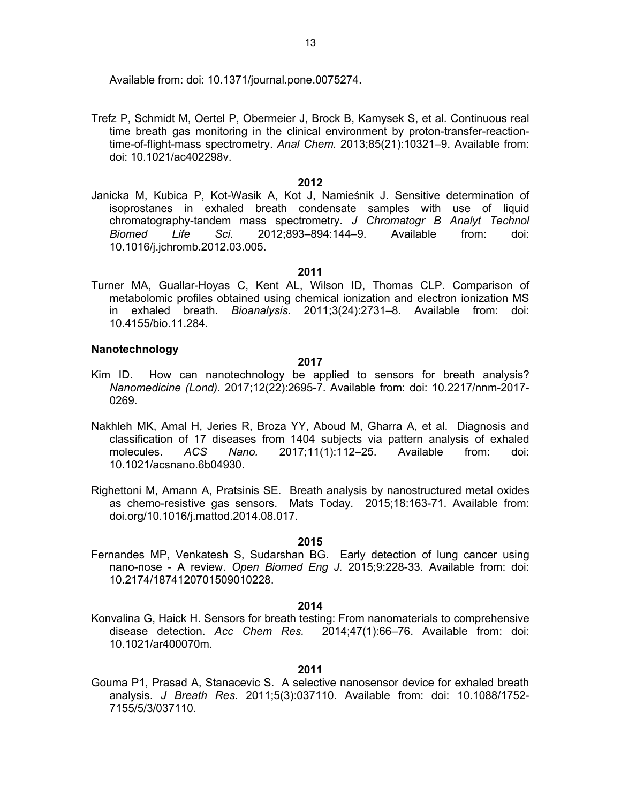Available from: doi: 10.1371/journal.pone.0075274.

Trefz P, Schmidt M, Oertel P, Obermeier J, Brock B, Kamysek S, et al. Continuous real time breath gas monitoring in the clinical environment by proton-transfer-reactiontime-of-flight-mass spectrometry. *Anal Chem.* 2013;85(21):10321–9. Available from: doi: 10.1021/ac402298v.

#### **2012**

Janicka M, Kubica P, Kot-Wasik A, Kot J, Namieśnik J. Sensitive determination of isoprostanes in exhaled breath condensate samples with use of liquid chromatography-tandem mass spectrometry. *J Chromatogr B Analyt Technol Biomed Life Sci.* 2012;893–894:144–9. Available from: doi: 10.1016/j.jchromb.2012.03.005.

#### **2011**

Turner MA, Guallar-Hoyas C, Kent AL, Wilson ID, Thomas CLP. Comparison of metabolomic profiles obtained using chemical ionization and electron ionization MS in exhaled breath. *Bioanalysis*. 2011;3(24):2731–8. Available from: doi: 10.4155/bio.11.284.

#### **Nanotechnology**

#### **2017**

- Kim ID. How can nanotechnology be applied to sensors for breath analysis? *Nanomedicine (Lond).* 2017;12(22):2695-7. Available from: doi: 10.2217/nnm-2017- 0269.
- Nakhleh MK, Amal H, Jeries R, Broza YY, Aboud M, Gharra A, et al. Diagnosis and classification of 17 diseases from 1404 subjects via pattern analysis of exhaled molecules. *ACS Nano.* 2017;11(1):112–25. Available from: doi: 10.1021/acsnano.6b04930.
- Righettoni M, Amann A, Pratsinis SE. Breath analysis by nanostructured metal oxides as chemo-resistive gas sensors. Mats Today. 2015;18:163-71. Available from: doi.org/10.1016/j.mattod.2014.08.017.

#### **2015**

Fernandes MP, Venkatesh S, Sudarshan BG. Early detection of lung cancer using nano-nose - A review. *Open Biomed Eng J.* 2015;9:228-33. Available from: doi: 10.2174/1874120701509010228.

#### **2014**

Konvalina G, Haick H. Sensors for breath testing: From nanomaterials to comprehensive disease detection. *Acc Chem Res.* 2014;47(1):66–76. Available from: doi: 10.1021/ar400070m.

#### **2011**

Gouma P1, Prasad A, Stanacevic S. A selective nanosensor device for exhaled breath analysis. *J Breath Res.* 2011;5(3):037110. Available from: doi: 10.1088/1752- 7155/5/3/037110.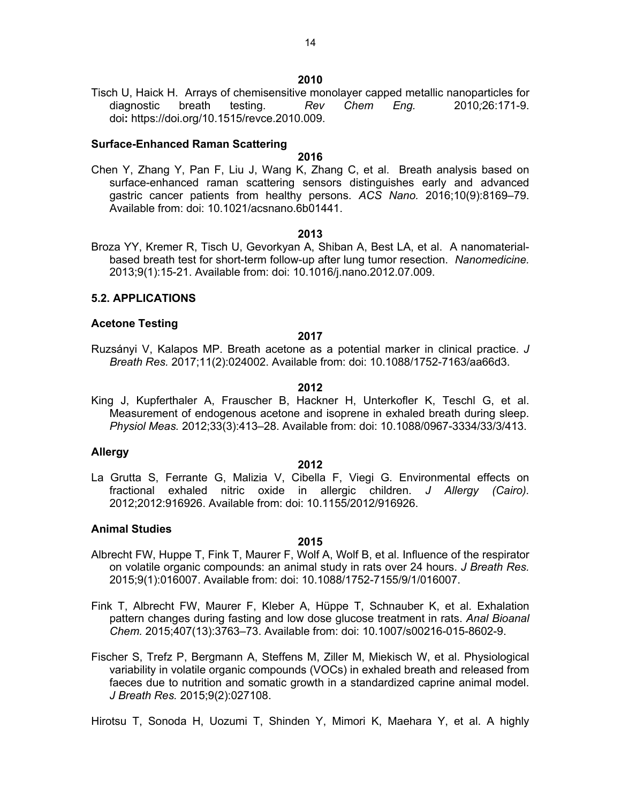Tisch U, Haick H. Arrays of chemisensitive monolayer capped metallic nanoparticles for diagnostic breath testing. *Rev Chem Eng.* 2010*;*26:171-9. doi**:** https://doi.org/10.1515/revce.2010.009.

#### **Surface-Enhanced Raman Scattering**

# **2016**

Chen Y, Zhang Y, Pan F, Liu J, Wang K, Zhang C, et al. Breath analysis based on surface-enhanced raman scattering sensors distinguishes early and advanced gastric cancer patients from healthy persons. *ACS Nano.* 2016;10(9):8169–79. Available from: doi: 10.1021/acsnano.6b01441.

#### **2013**

Broza YY, Kremer R, Tisch U, Gevorkyan A, Shiban A, Best LA, et al. A nanomaterialbased breath test for short-term follow-up after lung tumor resection. *Nanomedicine.* 2013;9(1):15-21. Available from: doi: 10.1016/j.nano.2012.07.009.

#### **5.2. APPLICATIONS**

#### **Acetone Testing**

#### **2017**

Ruzsányi V, Kalapos MP. Breath acetone as a potential marker in clinical practice. *J Breath Res.* 2017;11(2):024002. Available from: doi: 10.1088/1752-7163/aa66d3.

#### **2012**

King J, Kupferthaler A, Frauscher B, Hackner H, Unterkofler K, Teschl G, et al. Measurement of endogenous acetone and isoprene in exhaled breath during sleep. *Physiol Meas.* 2012;33(3):413–28. Available from: doi: 10.1088/0967-3334/33/3/413.

#### **Allergy**

#### **2012**

La Grutta S, Ferrante G, Malizia V, Cibella F, Viegi G. Environmental effects on fractional exhaled nitric oxide in allergic children. *J Allergy (Cairo).* 2012;2012:916926. Available from: doi: 10.1155/2012/916926.

#### **Animal Studies**

#### **2015**

- Albrecht FW, Huppe T, Fink T, Maurer F, Wolf A, Wolf B, et al. Influence of the respirator on volatile organic compounds: an animal study in rats over 24 hours. *J Breath Res.* 2015;9(1):016007. Available from: doi: 10.1088/1752-7155/9/1/016007.
- Fink T, Albrecht FW, Maurer F, Kleber A, Hüppe T, Schnauber K, et al. Exhalation pattern changes during fasting and low dose glucose treatment in rats. *Anal Bioanal Chem.* 2015;407(13):3763–73. Available from: doi: 10.1007/s00216-015-8602-9.
- Fischer S, Trefz P, Bergmann A, Steffens M, Ziller M, Miekisch W, et al. Physiological variability in volatile organic compounds (VOCs) in exhaled breath and released from faeces due to nutrition and somatic growth in a standardized caprine animal model. *J Breath Res.* 2015;9(2):027108.

Hirotsu T, Sonoda H, Uozumi T, Shinden Y, Mimori K, Maehara Y, et al. A highly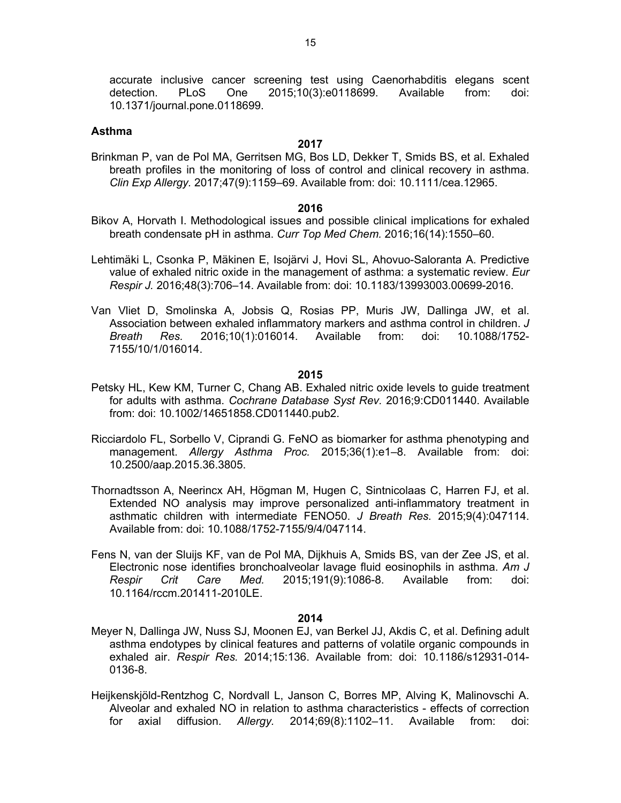accurate inclusive cancer screening test using Caenorhabditis elegans scent detection. PLoS One 2015;10(3):e0118699. Available from: doi: 10.1371/journal.pone.0118699.

#### **Asthma**

#### **2017**

Brinkman P, van de Pol MA, Gerritsen MG, Bos LD, Dekker T, Smids BS, et al. Exhaled breath profiles in the monitoring of loss of control and clinical recovery in asthma. *Clin Exp Allergy.* 2017;47(9):1159–69. Available from: doi: 10.1111/cea.12965.

#### **2016**

- Bikov A, Horvath I. Methodological issues and possible clinical implications for exhaled breath condensate pH in asthma. *Curr Top Med Chem.* 2016;16(14):1550–60.
- Lehtimäki L, Csonka P, Mäkinen E, Isojärvi J, Hovi SL, Ahovuo-Saloranta A. Predictive value of exhaled nitric oxide in the management of asthma: a systematic review. *Eur Respir J.* 2016;48(3):706–14. Available from: doi: 10.1183/13993003.00699-2016.
- Van Vliet D, Smolinska A, Jobsis Q, Rosias PP, Muris JW, Dallinga JW, et al. Association between exhaled inflammatory markers and asthma control in children. *J Breath Res.* 2016;10(1):016014. Available from: doi: 10.1088/1752- 7155/10/1/016014.

#### **2015**

- Petsky HL, Kew KM, Turner C, Chang AB. Exhaled nitric oxide levels to guide treatment for adults with asthma. *Cochrane Database Syst Rev.* 2016;9:CD011440. Available from: doi: 10.1002/14651858.CD011440.pub2.
- Ricciardolo FL, Sorbello V, Ciprandi G. FeNO as biomarker for asthma phenotyping and management. *Allergy Asthma Proc.* 2015;36(1):e1–8. Available from: doi: 10.2500/aap.2015.36.3805.
- Thornadtsson A, Neerincx AH, Högman M, Hugen C, Sintnicolaas C, Harren FJ, et al. Extended NO analysis may improve personalized anti-inflammatory treatment in asthmatic children with intermediate FENO50. *J Breath Res.* 2015;9(4):047114. Available from: doi: 10.1088/1752-7155/9/4/047114.
- Fens N, van der Sluijs KF, van de Pol MA, Dijkhuis A, Smids BS, van der Zee JS, et al. Electronic nose identifies bronchoalveolar lavage fluid eosinophils in asthma. *Am J Respir Crit Care Med.* 2015;191(9):1086-8. Available from: doi: 10.1164/rccm.201411-2010LE.

- Meyer N, Dallinga JW, Nuss SJ, Moonen EJ, van Berkel JJ, Akdis C, et al. Defining adult asthma endotypes by clinical features and patterns of volatile organic compounds in exhaled air. *Respir Res.* 2014;15:136. Available from: doi: 10.1186/s12931-014- 0136-8.
- Heijkenskjöld-Rentzhog C, Nordvall L, Janson C, Borres MP, Alving K, Malinovschi A. Alveolar and exhaled NO in relation to asthma characteristics - effects of correction for axial diffusion. *Allergy.* 2014;69(8):1102–11. Available from: doi: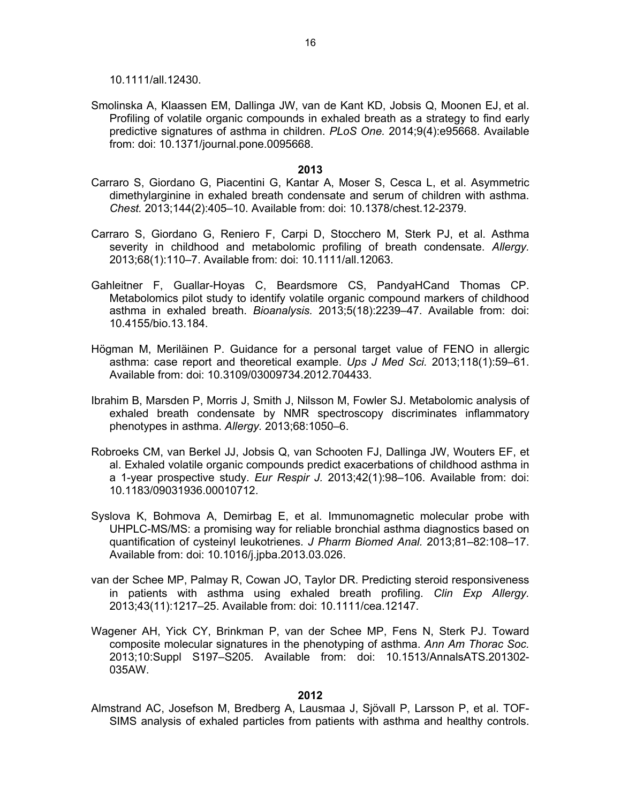10.1111/all.12430.

Smolinska A, Klaassen EM, Dallinga JW, van de Kant KD, Jobsis Q, Moonen EJ, et al. Profiling of volatile organic compounds in exhaled breath as a strategy to find early predictive signatures of asthma in children. *PLoS One.* 2014;9(4):e95668. Available from: doi: 10.1371/journal.pone.0095668.

#### **2013**

- Carraro S, Giordano G, Piacentini G, Kantar A, Moser S, Cesca L, et al. Asymmetric dimethylarginine in exhaled breath condensate and serum of children with asthma. *Chest.* 2013;144(2):405–10. Available from: doi: 10.1378/chest.12-2379.
- Carraro S, Giordano G, Reniero F, Carpi D, Stocchero M, Sterk PJ, et al. Asthma severity in childhood and metabolomic profiling of breath condensate. *Allergy.* 2013;68(1):110–7. Available from: doi: 10.1111/all.12063.
- Gahleitner F, Guallar-Hoyas C, Beardsmore CS, PandyaHCand Thomas CP. Metabolomics pilot study to identify volatile organic compound markers of childhood asthma in exhaled breath. *Bioanalysis.* 2013;5(18):2239–47. Available from: doi: 10.4155/bio.13.184.
- Högman M, Meriläinen P. Guidance for a personal target value of FENO in allergic asthma: case report and theoretical example. *Ups J Med Sci.* 2013;118(1):59–61. Available from: doi: 10.3109/03009734.2012.704433.
- Ibrahim B, Marsden P, Morris J, Smith J, Nilsson M, Fowler SJ. Metabolomic analysis of exhaled breath condensate by NMR spectroscopy discriminates inflammatory phenotypes in asthma. *Allergy.* 2013;68:1050–6.
- Robroeks CM, van Berkel JJ, Jobsis Q, van Schooten FJ, Dallinga JW, Wouters EF, et al. Exhaled volatile organic compounds predict exacerbations of childhood asthma in a 1-year prospective study. *Eur Respir J.* 2013;42(1):98–106. Available from: doi: 10.1183/09031936.00010712.
- Syslova K, Bohmova A, Demirbag E, et al. Immunomagnetic molecular probe with UHPLC-MS/MS: a promising way for reliable bronchial asthma diagnostics based on quantification of cysteinyl leukotrienes. *J Pharm Biomed Anal.* 2013;81–82:108–17. Available from: doi: 10.1016/j.jpba.2013.03.026.
- van der Schee MP, Palmay R, Cowan JO, Taylor DR. Predicting steroid responsiveness in patients with asthma using exhaled breath profiling. *Clin Exp Allergy.* 2013;43(11):1217–25. Available from: doi: 10.1111/cea.12147.
- Wagener AH, Yick CY, Brinkman P, van der Schee MP, Fens N, Sterk PJ. Toward composite molecular signatures in the phenotyping of asthma. *Ann Am Thorac Soc.* 2013;10:Suppl S197–S205. Available from: doi: 10.1513/AnnalsATS.201302- 035AW.

#### **2012**

Almstrand AC, Josefson M, Bredberg A, Lausmaa J, Sjövall P, Larsson P, et al. TOF-SIMS analysis of exhaled particles from patients with asthma and healthy controls.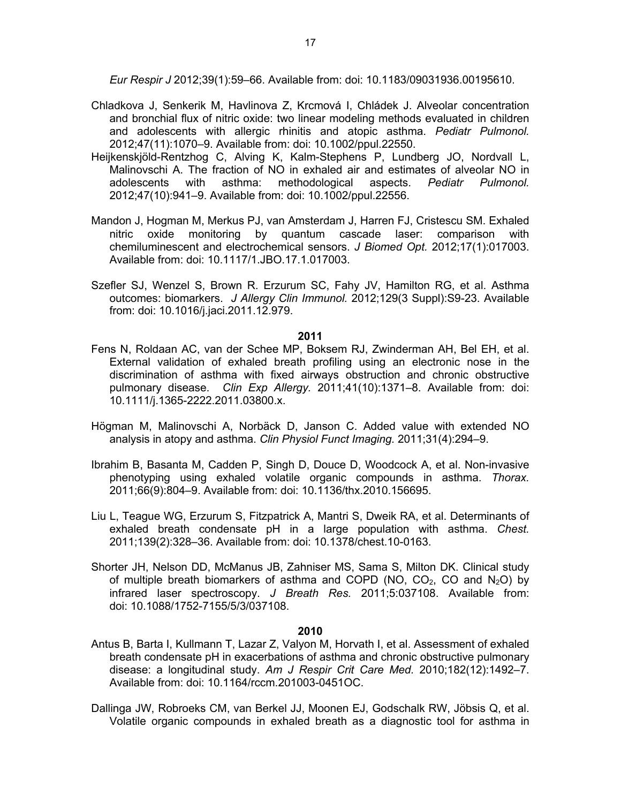*Eur Respir J* 2012;39(1):59–66. Available from: doi: 10.1183/09031936.00195610.

- Chladkova J, Senkerik M, Havlinova Z, Krcmová I, Chládek J. Alveolar concentration and bronchial flux of nitric oxide: two linear modeling methods evaluated in children and adolescents with allergic rhinitis and atopic asthma. *Pediatr Pulmonol.* 2012;47(11):1070–9. Available from: doi: 10.1002/ppul.22550.
- Heijkenskjöld-Rentzhog C, Alving K, Kalm-Stephens P, Lundberg JO, Nordvall L, Malinovschi A. The fraction of NO in exhaled air and estimates of alveolar NO in adolescents with asthma: methodological aspects. *Pediatr Pulmonol.* 2012;47(10):941–9. Available from: doi: 10.1002/ppul.22556.
- Mandon J, Hogman M, Merkus PJ, van Amsterdam J, Harren FJ, Cristescu SM. Exhaled nitric oxide monitoring by quantum cascade laser: comparison with chemiluminescent and electrochemical sensors. *J Biomed Opt.* 2012;17(1):017003. Available from: doi: 10.1117/1.JBO.17.1.017003.
- Szefler SJ, Wenzel S, Brown R. Erzurum SC, Fahy JV, Hamilton RG, et al. Asthma outcomes: biomarkers. *J Allergy Clin Immunol.* 2012;129(3 Suppl):S9-23. Available from: doi: 10.1016/j.jaci.2011.12.979.

#### **2011**

- Fens N, Roldaan AC, van der Schee MP, Boksem RJ, Zwinderman AH, Bel EH, et al. External validation of exhaled breath profiling using an electronic nose in the discrimination of asthma with fixed airways obstruction and chronic obstructive pulmonary disease. *Clin Exp Allergy.* 2011;41(10):1371–8. Available from: doi: 10.1111/j.1365-2222.2011.03800.x.
- Högman M, Malinovschi A, Norbäck D, Janson C. Added value with extended NO analysis in atopy and asthma. *Clin Physiol Funct Imaging.* 2011;31(4):294–9.
- Ibrahim B, Basanta M, Cadden P, Singh D, Douce D, Woodcock A, et al. Non-invasive phenotyping using exhaled volatile organic compounds in asthma. *Thorax.* 2011;66(9):804–9. Available from: doi: 10.1136/thx.2010.156695.
- Liu L, Teague WG, Erzurum S, Fitzpatrick A, Mantri S, Dweik RA, et al. Determinants of exhaled breath condensate pH in a large population with asthma. *Chest.* 2011;139(2):328–36. Available from: doi: 10.1378/chest.10-0163.
- Shorter JH, Nelson DD, McManus JB, Zahniser MS, Sama S, Milton DK. Clinical study of multiple breath biomarkers of asthma and COPD (NO,  $CO<sub>2</sub>$ , CO and N<sub>2</sub>O) by infrared laser spectroscopy. *J Breath Res.* 2011;5:037108. Available from: doi: 10.1088/1752-7155/5/3/037108.

- Antus B, Barta I, Kullmann T, Lazar Z, Valyon M, Horvath I, et al. Assessment of exhaled breath condensate pH in exacerbations of asthma and chronic obstructive pulmonary disease: a longitudinal study. *Am J Respir Crit Care Med.* 2010;182(12):1492–7. Available from: doi: 10.1164/rccm.201003-0451OC.
- Dallinga JW, Robroeks CM, van Berkel JJ, Moonen EJ, Godschalk RW, Jöbsis Q, et al. Volatile organic compounds in exhaled breath as a diagnostic tool for asthma in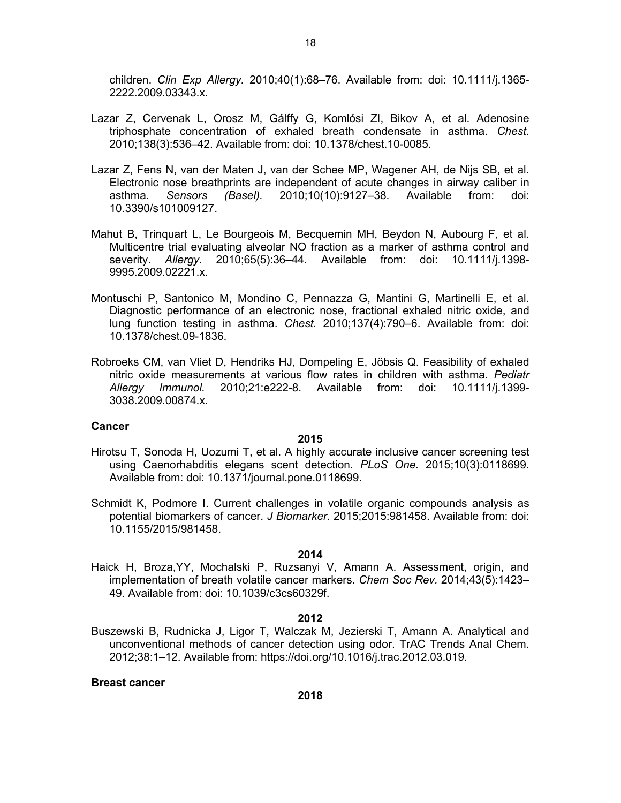children. *Clin Exp Allergy.* 2010;40(1):68–76. Available from: doi: 10.1111/j.1365- 2222.2009.03343.x.

- Lazar Z, Cervenak L, Orosz M, Gálffy G, Komlósi ZI, Bikov A, et al. Adenosine triphosphate concentration of exhaled breath condensate in asthma. *Chest.* 2010;138(3):536–42. Available from: doi: 10.1378/chest.10-0085.
- Lazar Z, Fens N, van der Maten J, van der Schee MP, Wagener AH, de Nijs SB, et al. Electronic nose breathprints are independent of acute changes in airway caliber in asthma. *Sensors (Basel).* 2010;10(10):9127–38. Available from: doi: 10.3390/s101009127.
- Mahut B, Trinquart L, Le Bourgeois M, Becquemin MH, Beydon N, Aubourg F, et al. Multicentre trial evaluating alveolar NO fraction as a marker of asthma control and severity. *Allergy.* 2010;65(5):36–44. Available from: doi: 10.1111/j.1398- 9995.2009.02221.x.
- Montuschi P, Santonico M, Mondino C, Pennazza G, Mantini G, Martinelli E, et al. Diagnostic performance of an electronic nose, fractional exhaled nitric oxide, and lung function testing in asthma. *Chest.* 2010;137(4):790–6. Available from: doi: 10.1378/chest.09-1836.
- Robroeks CM, van Vliet D, Hendriks HJ, Dompeling E, Jöbsis Q. Feasibility of exhaled nitric oxide measurements at various flow rates in children with asthma. *Pediatr Allergy Immunol.* 2010;21:e222-8. Available from: doi: 10.1111/j.1399- 3038.2009.00874.x.

#### **Cancer**

#### **2015**

- Hirotsu T, Sonoda H, Uozumi T, et al. A highly accurate inclusive cancer screening test using Caenorhabditis elegans scent detection. *PLoS One.* 2015;10(3):0118699. Available from: doi: 10.1371/journal.pone.0118699.
- Schmidt K, Podmore I. Current challenges in volatile organic compounds analysis as potential biomarkers of cancer. *J Biomarker.* 2015;2015:981458. Available from: doi: 10.1155/2015/981458.

# **2014**

Haick H, Broza,YY, Mochalski P, Ruzsanyi V, Amann A. Assessment, origin, and implementation of breath volatile cancer markers. *Chem Soc Rev.* 2014;43(5):1423– 49. Available from: doi: 10.1039/c3cs60329f.

#### **2012**

Buszewski B, Rudnicka J, Ligor T, Walczak M, Jezierski T, Amann A. Analytical and unconventional methods of cancer detection using odor. TrAC Trends Anal Chem. 2012;38:1–12. Available from: https://doi.org/10.1016/j.trac.2012.03.019.

#### **Breast cancer**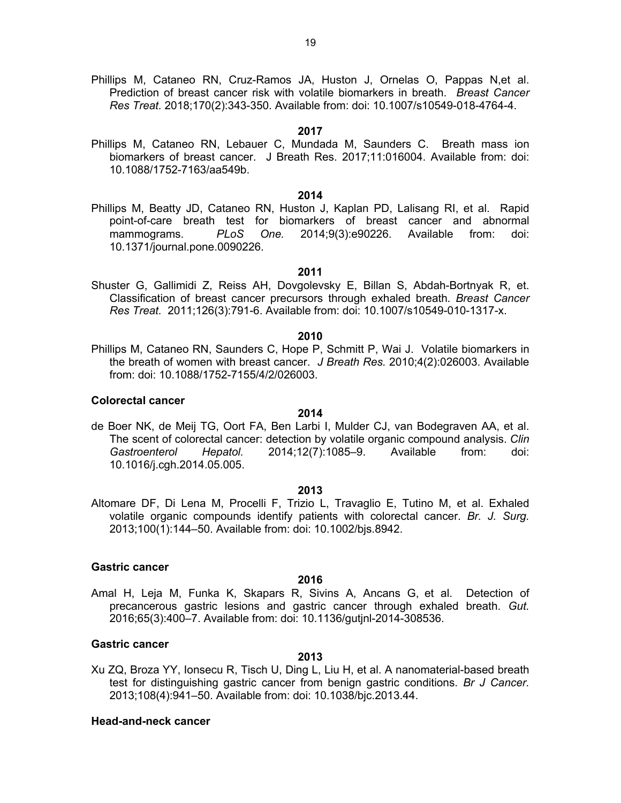Phillips M, Cataneo RN, Cruz-Ramos JA, Huston J, Ornelas O, Pappas N,et al. Prediction of breast cancer risk with volatile biomarkers in breath. *Breast Cancer Res Treat.* 2018;170(2):343-350. Available from: doi: 10.1007/s10549-018-4764-4.

#### **2017**

Phillips M, Cataneo RN, Lebauer C, Mundada M, Saunders C. Breath mass ion biomarkers of breast cancer. J Breath Res. 2017;11:016004. Available from: doi: 10.1088/1752-7163/aa549b.

#### **2014**

Phillips M, Beatty JD, Cataneo RN, Huston J, Kaplan PD, Lalisang RI, et al. Rapid point-of-care breath test for biomarkers of breast cancer and abnormal mammograms. *PLoS One.* 2014;9(3):e90226. Available from: doi: 10.1371/journal.pone.0090226.

#### **2011**

Shuster G, Gallimidi Z, Reiss AH, Dovgolevsky E, Billan S, Abdah-Bortnyak R, et. Classification of breast cancer precursors through exhaled breath. *Breast Cancer Res Treat.* 2011;126(3):791-6. Available from: doi: 10.1007/s10549-010-1317-x.

#### **2010**

Phillips M, Cataneo RN, Saunders C, Hope P, Schmitt P, Wai J. Volatile biomarkers in the breath of women with breast cancer. *J Breath Res.* 2010;4(2):026003. Available from: doi: 10.1088/1752-7155/4/2/026003.

# **Colorectal cancer**

de Boer NK, de Meij TG, Oort FA, Ben Larbi I, Mulder CJ, van Bodegraven AA, et al. The scent of colorectal cancer: detection by volatile organic compound analysis. *Clin Gastroenterol Hepatol.* 2014;12(7):1085–9. Available from: doi: 10.1016/j.cgh.2014.05.005.

**2014**

#### **2013**

Altomare DF, Di Lena M, Procelli F, Trizio L, Travaglio E, Tutino M, et al. Exhaled volatile organic compounds identify patients with colorectal cancer. *Br. J. Surg.* 2013;100(1):144–50. Available from: doi: 10.1002/bjs.8942.

#### **Gastric cancer**

## **2016**

Amal H, Leja M, Funka K, Skapars R, Sivins A, Ancans G, et al. Detection of precancerous gastric lesions and gastric cancer through exhaled breath. *Gut.* 2016;65(3):400–7. Available from: doi: 10.1136/gutjnl-2014-308536.

#### **Gastric cancer**

Xu ZQ, Broza YY, Ionsecu R, Tisch U, Ding L, Liu H, et al. A nanomaterial-based breath test for distinguishing gastric cancer from benign gastric conditions. *Br J Cancer.* 2013;108(4):941–50. Available from: doi: 10.1038/bjc.2013.44.

**2013**

#### **Head-and-neck cancer**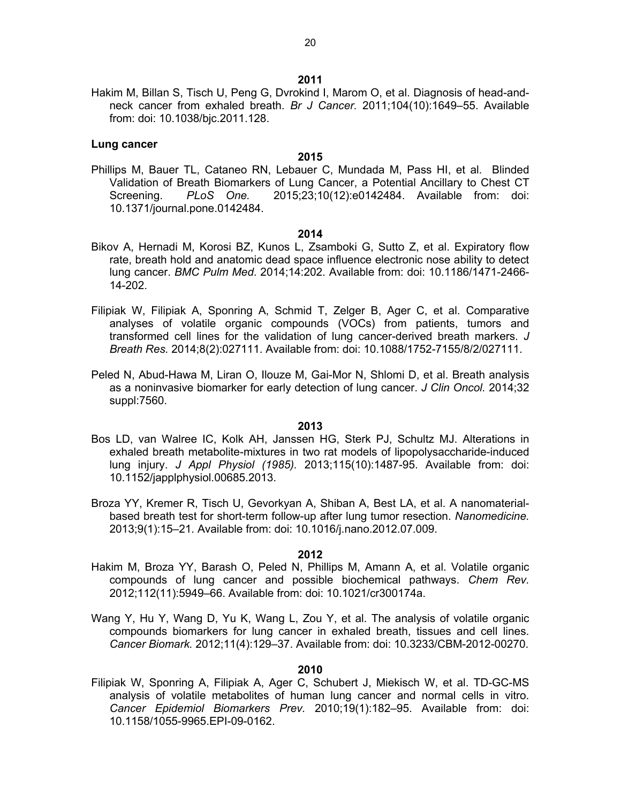Hakim M, Billan S, Tisch U, Peng G, Dvrokind I, Marom O, et al. Diagnosis of head-andneck cancer from exhaled breath. *Br J Cancer.* 2011;104(10):1649–55. Available from: doi: 10.1038/bjc.2011.128.

#### **Lung cancer**

#### **2015**

Phillips M, Bauer TL, Cataneo RN, Lebauer C, Mundada M, Pass HI, et al. Blinded Validation of Breath Biomarkers of Lung Cancer, a Potential Ancillary to Chest CT Screening. *PLoS One.* 2015;23;10(12):e0142484. Available from: doi: 10.1371/journal.pone.0142484.

#### **2014**

- Bikov A, Hernadi M, Korosi BZ, Kunos L, Zsamboki G, Sutto Z, et al. Expiratory flow rate, breath hold and anatomic dead space influence electronic nose ability to detect lung cancer. *BMC Pulm Med*. 2014;14:202. Available from: doi: 10.1186/1471-2466- 14-202.
- Filipiak W, Filipiak A, Sponring A, Schmid T, Zelger B, Ager C, et al. Comparative analyses of volatile organic compounds (VOCs) from patients, tumors and transformed cell lines for the validation of lung cancer-derived breath markers. *J Breath Res.* 2014;8(2):027111. Available from: doi: 10.1088/1752-7155/8/2/027111.
- Peled N, Abud-Hawa M, Liran O, Ilouze M, Gai-Mor N, Shlomi D, et al. Breath analysis as a noninvasive biomarker for early detection of lung cancer. *J Clin Oncol.* 2014;32 suppl:7560.

#### **2013**

- Bos LD, van Walree IC, Kolk AH, Janssen HG, Sterk PJ, Schultz MJ. Alterations in exhaled breath metabolite-mixtures in two rat models of lipopolysaccharide-induced lung injury. *J Appl Physiol (1985).* 2013;115(10):1487-95. Available from: doi: 10.1152/japplphysiol.00685.2013.
- Broza YY, Kremer R, Tisch U, Gevorkyan A, Shiban A, Best LA, et al. A nanomaterialbased breath test for short-term follow-up after lung tumor resection. *Nanomedicine.* 2013;9(1):15–21. Available from: doi: 10.1016/j.nano.2012.07.009.

#### **2012**

- Hakim M, Broza YY, Barash O, Peled N, Phillips M, Amann A, et al. Volatile organic compounds of lung cancer and possible biochemical pathways. *Chem Rev.* 2012;112(11):5949–66. Available from: doi: 10.1021/cr300174a.
- Wang Y, Hu Y, Wang D, Yu K, Wang L, Zou Y, et al. The analysis of volatile organic compounds biomarkers for lung cancer in exhaled breath, tissues and cell lines. *Cancer Biomark.* 2012;11(4):129–37. Available from: doi: 10.3233/CBM-2012-00270.

#### **2010**

Filipiak W, Sponring A, Filipiak A, Ager C, Schubert J, Miekisch W, et al. TD-GC-MS analysis of volatile metabolites of human lung cancer and normal cells in vitro. *Cancer Epidemiol Biomarkers Prev.* 2010;19(1):182–95. Available from: doi: 10.1158/1055-9965.EPI-09-0162.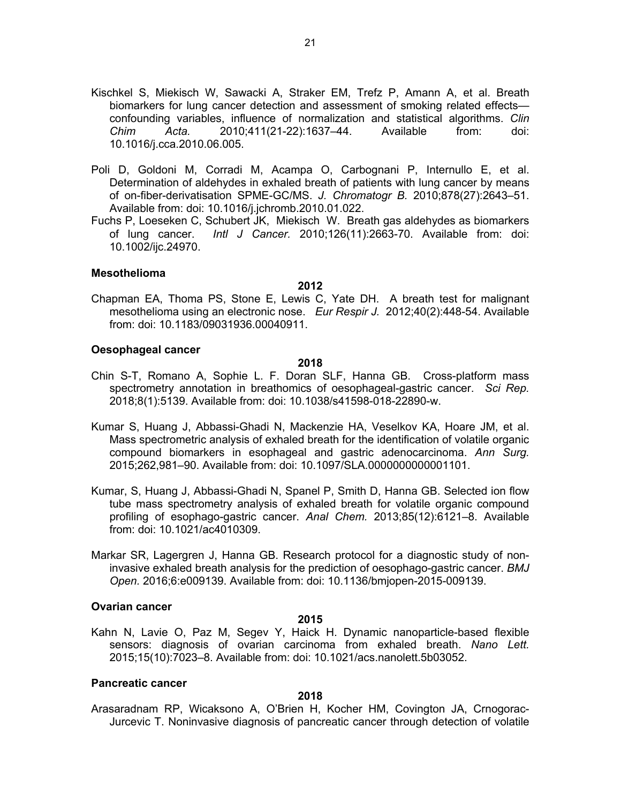- Kischkel S, Miekisch W, Sawacki A, Straker EM, Trefz P, Amann A, et al. Breath biomarkers for lung cancer detection and assessment of smoking related effects confounding variables, influence of normalization and statistical algorithms. *Clin Chim Acta.* 2010;411(21-22):1637–44. Available from: doi: 10.1016/j.cca.2010.06.005.
- Poli D, Goldoni M, Corradi M, Acampa O, Carbognani P, Internullo E, et al. Determination of aldehydes in exhaled breath of patients with lung cancer by means of on-fiber-derivatisation SPME-GC/MS. *J. Chromatogr B.* 2010;878(27):2643–51. Available from: doi: 10.1016/j.jchromb.2010.01.022.
- Fuchs P, Loeseken C, Schubert JK, Miekisch W. Breath gas aldehydes as biomarkers of lung cancer. *Intl J Cancer.* 2010;126(11):2663-70. Available from: doi: 10.1002/ijc.24970.

#### **Mesothelioma**

#### **2012**

Chapman EA, Thoma PS, Stone E, Lewis C, Yate DH. A breath test for malignant mesothelioma using an electronic nose. *Eur Respir J.* 2012;40(2):448-54. Available from: doi: 10.1183/09031936.00040911.

#### **Oesophageal cancer**

#### **2018**

- Chin S-T, Romano A, Sophie L. F. Doran SLF, Hanna GB. Cross-platform mass spectrometry annotation in breathomics of oesophageal-gastric cancer. *Sci Rep.*  2018;8(1):5139. Available from: doi: 10.1038/s41598-018-22890-w.
- Kumar S, Huang J, Abbassi-Ghadi N, Mackenzie HA, Veselkov KA, Hoare JM, et al. Mass spectrometric analysis of exhaled breath for the identification of volatile organic compound biomarkers in esophageal and gastric adenocarcinoma. *Ann Surg.* 2015;262,981–90. Available from: doi: 10.1097/SLA.0000000000001101.
- Kumar, S, Huang J, Abbassi-Ghadi N, Spanel P, Smith D, Hanna GB. Selected ion flow tube mass spectrometry analysis of exhaled breath for volatile organic compound profiling of esophago-gastric cancer. *Anal Chem.* 2013;85(12):6121–8. Available from: doi: 10.1021/ac4010309.
- Markar SR, Lagergren J, Hanna GB. Research protocol for a diagnostic study of noninvasive exhaled breath analysis for the prediction of oesophago-gastric cancer. *BMJ Open.* 2016;6:e009139. Available from: doi: 10.1136/bmjopen-2015-009139.

#### **Ovarian cancer**

#### **2015**

Kahn N, Lavie O, Paz M, Segev Y, Haick H. Dynamic nanoparticle-based flexible sensors: diagnosis of ovarian carcinoma from exhaled breath. *Nano Lett.* 2015;15(10):7023–8. Available from: doi: 10.1021/acs.nanolett.5b03052.

#### **Pancreatic cancer**

#### **2018**

Arasaradnam RP, Wicaksono A, O'Brien H, Kocher HM, Covington JA, Crnogorac-Jurcevic T. Noninvasive diagnosis of pancreatic cancer through detection of volatile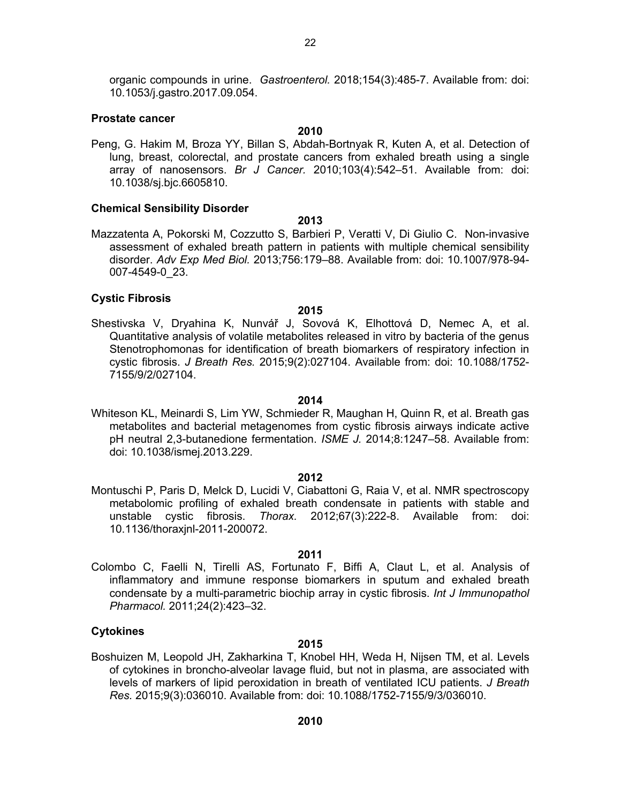organic compounds in urine. *Gastroenterol.* 2018;154(3):485-7. Available from: doi: 10.1053/j.gastro.2017.09.054.

#### **Prostate cancer**

#### **2010**

Peng, G. Hakim M, Broza YY, Billan S, Abdah-Bortnyak R, Kuten A, et al. Detection of lung, breast, colorectal, and prostate cancers from exhaled breath using a single array of nanosensors. *Br J Cancer.* 2010;103(4):542–51. Available from: doi: 10.1038/sj.bjc.6605810.

#### **Chemical Sensibility Disorder**

- **2013**
- Mazzatenta A, Pokorski M, Cozzutto S, Barbieri P, Veratti V, Di Giulio C. Non-invasive assessment of exhaled breath pattern in patients with multiple chemical sensibility disorder. *Adv Exp Med Biol.* 2013;756:179–88. Available from: doi: 10.1007/978-94- 007-4549-0\_23.

#### **Cystic Fibrosis**

#### **2015**

Shestivska V, Dryahina K, Nunvář J, Sovová K, Elhottová D, Nemec A, et al. Quantitative analysis of volatile metabolites released in vitro by bacteria of the genus Stenotrophomonas for identification of breath biomarkers of respiratory infection in cystic fibrosis. *J Breath Res.* 2015;9(2):027104. Available from: doi: 10.1088/1752- 7155/9/2/027104.

#### **2014**

Whiteson KL, Meinardi S, Lim YW, Schmieder R, Maughan H, Quinn R, et al. Breath gas metabolites and bacterial metagenomes from cystic fibrosis airways indicate active pH neutral 2,3-butanedione fermentation. *ISME J.* 2014;8:1247–58. Available from: doi: 10.1038/ismej.2013.229.

#### **2012**

Montuschi P, Paris D, Melck D, Lucidi V, Ciabattoni G, Raia V, et al. NMR spectroscopy metabolomic profiling of exhaled breath condensate in patients with stable and unstable cystic fibrosis. *Thorax.* 2012;67(3):222-8. Available from: doi: 10.1136/thoraxjnl-2011-200072.

#### **2011**

Colombo C, Faelli N, Tirelli AS, Fortunato F, Biffi A, Claut L, et al. Analysis of inflammatory and immune response biomarkers in sputum and exhaled breath condensate by a multi-parametric biochip array in cystic fibrosis. *Int J Immunopathol Pharmacol.* 2011;24(2):423–32.

#### **Cytokines**

#### **2015**

Boshuizen M, Leopold JH, Zakharkina T, Knobel HH, Weda H, Nijsen TM, et al. Levels of cytokines in broncho-alveolar lavage fluid, but not in plasma, are associated with levels of markers of lipid peroxidation in breath of ventilated ICU patients. *J Breath Res.* 2015;9(3):036010. Available from: doi: 10.1088/1752-7155/9/3/036010.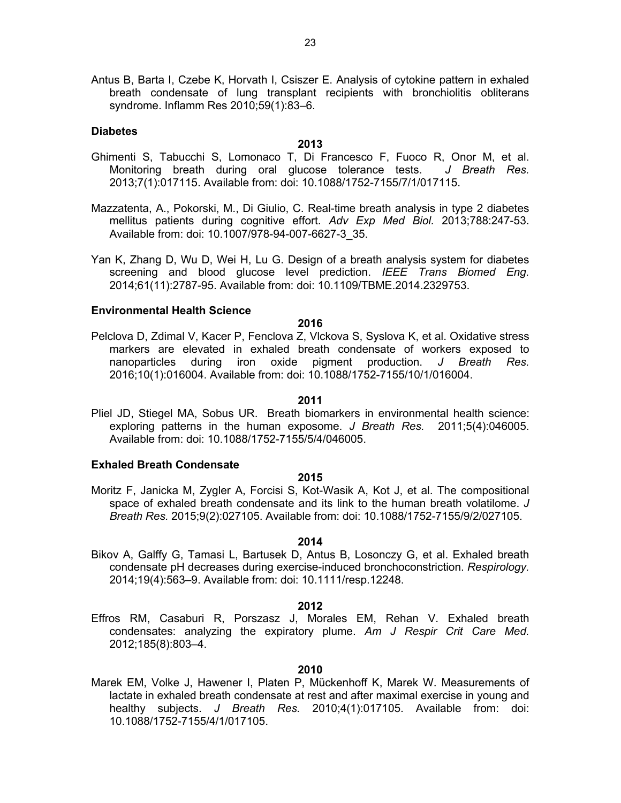Antus B, Barta I, Czebe K, Horvath I, Csiszer E. Analysis of cytokine pattern in exhaled breath condensate of lung transplant recipients with bronchiolitis obliterans syndrome. Inflamm Res 2010;59(1):83–6.

#### **Diabetes**

#### **2013**

- Ghimenti S, Tabucchi S, Lomonaco T, Di Francesco F, Fuoco R, Onor M, et al. Monitoring breath during oral glucose tolerance tests. *J Breath Res.* 2013;7(1):017115. Available from: doi: 10.1088/1752-7155/7/1/017115.
- Mazzatenta, A., Pokorski, M., Di Giulio, C. Real-time breath analysis in type 2 diabetes mellitus patients during cognitive effort. *Adv Exp Med Biol.* 2013;788:247-53. Available from: doi: 10.1007/978-94-007-6627-3\_35.
- Yan K, Zhang D, Wu D, Wei H, Lu G. Design of a breath analysis system for diabetes screening and blood glucose level prediction. *IEEE Trans Biomed Eng.* 2014;61(11):2787-95. Available from: doi: 10.1109/TBME.2014.2329753.

#### **Environmental Health Science**

**2016**

Pelclova D, Zdimal V, Kacer P, Fenclova Z, Vlckova S, Syslova K, et al. Oxidative stress markers are elevated in exhaled breath condensate of workers exposed to nanoparticles during iron oxide pigment production. *J Breath Res.* 2016;10(1):016004. Available from: doi: 10.1088/1752-7155/10/1/016004.

#### **2011**

Pliel JD, Stiegel MA, Sobus UR. Breath biomarkers in environmental health science: exploring patterns in the human exposome. *J Breath Res.* 2011;5(4):046005. Available from: doi: 10.1088/1752-7155/5/4/046005.

#### **Exhaled Breath Condensate**

#### **2015**

Moritz F, Janicka M, Zygler A, Forcisi S, Kot-Wasik A, Kot J, et al. The compositional space of exhaled breath condensate and its link to the human breath volatilome. *J Breath Res.* 2015;9(2):027105. Available from: doi: 10.1088/1752-7155/9/2/027105.

#### **2014**

Bikov A, Galffy G, Tamasi L, Bartusek D, Antus B, Losonczy G, et al. Exhaled breath condensate pH decreases during exercise-induced bronchoconstriction. *Respirology.* 2014;19(4):563–9. Available from: doi: 10.1111/resp.12248.

#### **2012**

Effros RM, Casaburi R, Porszasz J, Morales EM, Rehan V. Exhaled breath condensates: analyzing the expiratory plume. *Am J Respir Crit Care Med.* 2012;185(8):803–4.

#### **2010**

Marek EM, Volke J, Hawener I, Platen P, Mückenhoff K, Marek W. Measurements of lactate in exhaled breath condensate at rest and after maximal exercise in young and healthy subjects. *J Breath Res.* 2010;4(1):017105. Available from: doi: 10.1088/1752-7155/4/1/017105.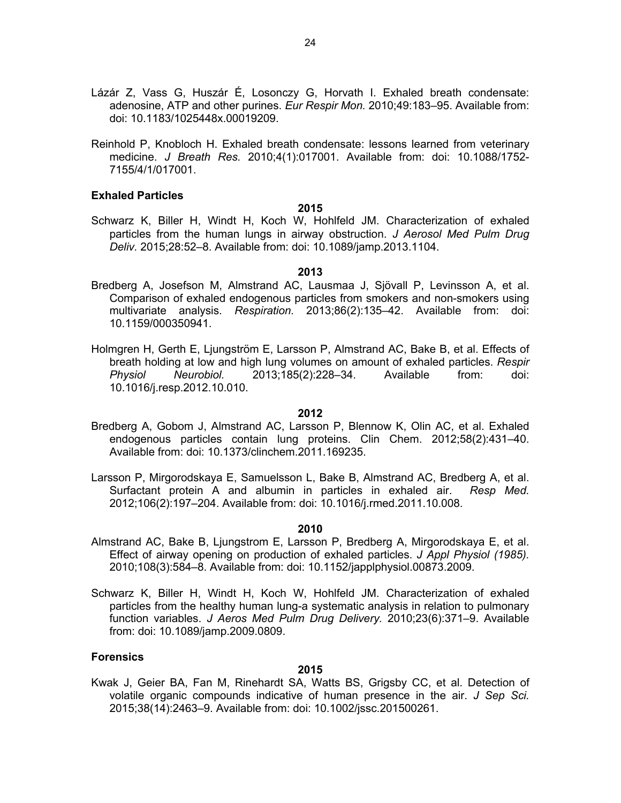- Lázár Z, Vass G, Huszár É, Losonczy G, Horvath I. Exhaled breath condensate: adenosine, ATP and other purines. *Eur Respir Mon.* 2010;49:183–95. Available from: doi: 10.1183/1025448x.00019209.
- Reinhold P, Knobloch H. Exhaled breath condensate: lessons learned from veterinary medicine. *J Breath Res.* 2010;4(1):017001. Available from: doi: 10.1088/1752- 7155/4/1/017001.

## **Exhaled Particles**

**2015**

Schwarz K, Biller H, Windt H, Koch W, Hohlfeld JM. Characterization of exhaled particles from the human lungs in airway obstruction. *J Aerosol Med Pulm Drug Deliv.* 2015;28:52–8. Available from: doi: 10.1089/jamp.2013.1104.

**2013**

- Bredberg A, Josefson M, Almstrand AC, Lausmaa J, Sjövall P, Levinsson A, et al. Comparison of exhaled endogenous particles from smokers and non-smokers using multivariate analysis. *Respiration.* 2013;86(2):135–42. Available from: doi: 10.1159/000350941.
- Holmgren H, Gerth E, Ljungström E, Larsson P, Almstrand AC, Bake B, et al. Effects of breath holding at low and high lung volumes on amount of exhaled particles. *Respir Physiol Neurobiol.* 2013;185(2):228–34. Available from: doi: 10.1016/j.resp.2012.10.010.

#### **2012**

- Bredberg A, Gobom J, Almstrand AC, Larsson P, Blennow K, Olin AC, et al. Exhaled endogenous particles contain lung proteins. Clin Chem. 2012;58(2):431–40. Available from: doi: 10.1373/clinchem.2011.169235.
- Larsson P, Mirgorodskaya E, Samuelsson L, Bake B, Almstrand AC, Bredberg A, et al. Surfactant protein A and albumin in particles in exhaled air. *Resp Med.* 2012;106(2):197–204. Available from: doi: 10.1016/j.rmed.2011.10.008.

#### **2010**

- Almstrand AC, Bake B, Ljungstrom E, Larsson P, Bredberg A, Mirgorodskaya E, et al. Effect of airway opening on production of exhaled particles. *J Appl Physiol (1985).* 2010;108(3):584–8. Available from: doi: 10.1152/japplphysiol.00873.2009.
- Schwarz K, Biller H, Windt H, Koch W, Hohlfeld JM. Characterization of exhaled particles from the healthy human lung-a systematic analysis in relation to pulmonary function variables. *J Aeros Med Pulm Drug Delivery.* 2010;23(6):371–9. Available from: doi: 10.1089/jamp.2009.0809.

#### **Forensics**

#### **2015**

Kwak J, Geier BA, Fan M, Rinehardt SA, Watts BS, Grigsby CC, et al. Detection of volatile organic compounds indicative of human presence in the air. *J Sep Sci.* 2015;38(14):2463–9. Available from: doi: 10.1002/jssc.201500261.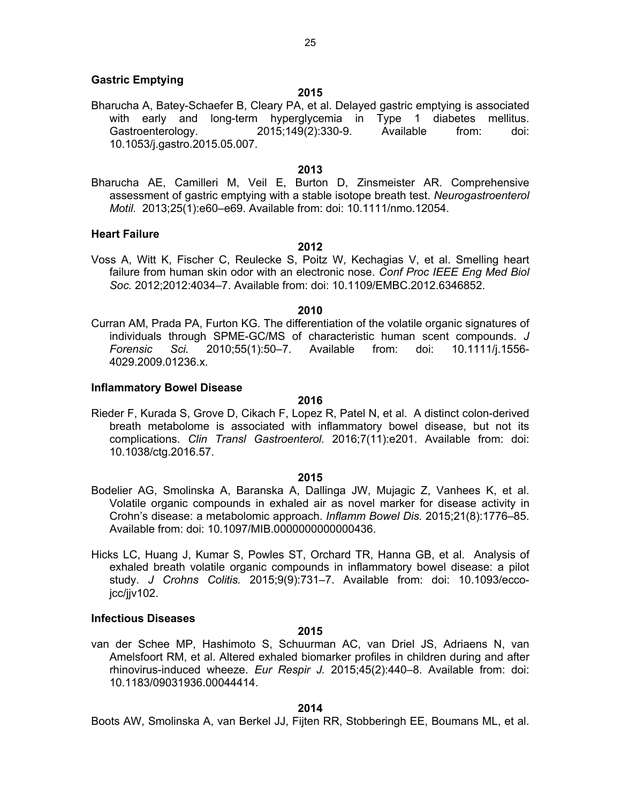#### **Gastric Emptying**

#### **2015**

Bharucha A, Batey-Schaefer B, Cleary PA, et al. Delayed gastric emptying is associated with early and long-term hyperglycemia in Type 1 diabetes mellitus. Gastroenterology. 2015;149(2):330-9. Available from: doi: 10.1053/j.gastro.2015.05.007.

#### **2013**

Bharucha AE, Camilleri M, Veil E, Burton D, Zinsmeister AR. Comprehensive assessment of gastric emptying with a stable isotope breath test. *Neurogastroenterol Motil.* 2013;25(1):e60–e69. Available from: doi: 10.1111/nmo.12054.

#### **Heart Failure**

#### **2012**

Voss A, Witt K, Fischer C, Reulecke S, Poitz W, Kechagias V, et al. Smelling heart failure from human skin odor with an electronic nose. *Conf Proc IEEE Eng Med Biol Soc.* 2012;2012:4034–7. Available from: doi: 10.1109/EMBC.2012.6346852.

#### **2010**

Curran AM, Prada PA, Furton KG. The differentiation of the volatile organic signatures of individuals through SPME-GC/MS of characteristic human scent compounds. *J Forensic Sci.* 2010;55(1):50–7. Available from: doi: 10.1111/j.1556- 4029.2009.01236.x.

#### **Inflammatory Bowel Disease**

#### **2016**

Rieder F, Kurada S, Grove D, Cikach F, Lopez R, Patel N, et al. A distinct colon-derived breath metabolome is associated with inflammatory bowel disease, but not its complications. *Clin Transl Gastroenterol.* 2016;7(11):e201. Available from: doi: 10.1038/ctg.2016.57.

#### **2015**

- Bodelier AG, Smolinska A, Baranska A, Dallinga JW, Mujagic Z, Vanhees K, et al. Volatile organic compounds in exhaled air as novel marker for disease activity in Crohn's disease: a metabolomic approach. *Inflamm Bowel Dis.* 2015;21(8):1776–85. Available from: doi: 10.1097/MIB.0000000000000436.
- Hicks LC, Huang J, Kumar S, Powles ST, Orchard TR, Hanna GB, et al. Analysis of exhaled breath volatile organic compounds in inflammatory bowel disease: a pilot study. *J Crohns Colitis.* 2015;9(9):731–7. Available from: doi: 10.1093/eccojcc/jjv102.

#### **Infectious Diseases**

#### **2015**

van der Schee MP, Hashimoto S, Schuurman AC, van Driel JS, Adriaens N, van Amelsfoort RM, et al. Altered exhaled biomarker profiles in children during and after rhinovirus-induced wheeze. *Eur Respir J.* 2015;45(2):440–8. Available from: doi: 10.1183/09031936.00044414.

#### **2014**

Boots AW, Smolinska A, van Berkel JJ, Fijten RR, Stobberingh EE, Boumans ML, et al.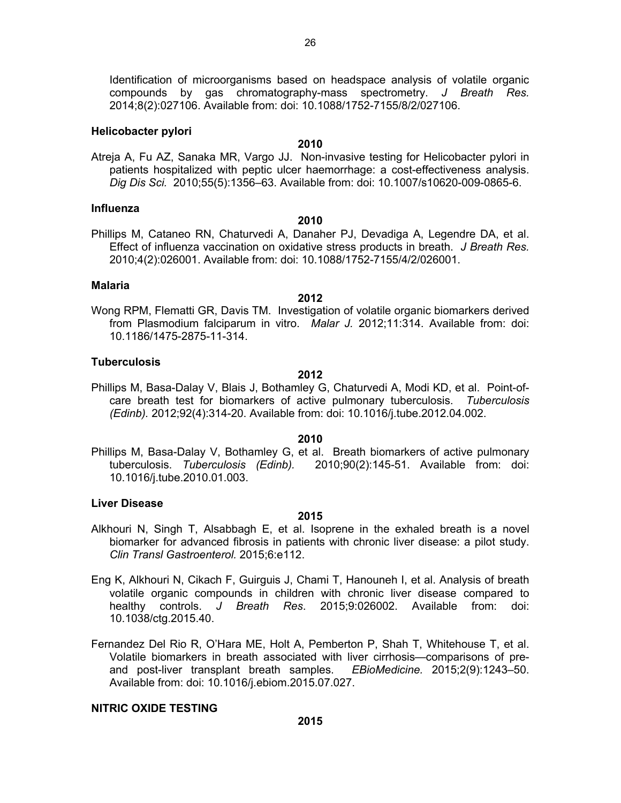Identification of microorganisms based on headspace analysis of volatile organic compounds by gas chromatography-mass spectrometry. *J Breath Res.* 2014;8(2):027106. Available from: doi: 10.1088/1752-7155/8/2/027106.

#### **Helicobacter pylori**

#### **2010**

Atreja A, Fu AZ, Sanaka MR, Vargo JJ. Non-invasive testing for Helicobacter pylori in patients hospitalized with peptic ulcer haemorrhage: a cost-effectiveness analysis. *Dig Dis Sci.* 2010;55(5):1356–63. Available from: doi: 10.1007/s10620-009-0865-6.

#### **Influenza**

#### **2010**

Phillips M, Cataneo RN, Chaturvedi A, Danaher PJ, Devadiga A, Legendre DA, et al. Effect of influenza vaccination on oxidative stress products in breath. *J Breath Res.* 2010;4(2):026001. Available from: doi: 10.1088/1752-7155/4/2/026001.

#### **Malaria**

Wong RPM, Flematti GR, Davis TM. Investigation of volatile organic biomarkers derived from Plasmodium falciparum in vitro. *Malar J.* 2012;11:314. Available from: doi: 10.1186/1475-2875-11-314.

**2012**

#### **Tuberculosis**

#### **2012**

Phillips M, Basa-Dalay V, Blais J, Bothamley G, Chaturvedi A, Modi KD, et al. Point-ofcare breath test for biomarkers of active pulmonary tuberculosis. *Tuberculosis (Edinb).* 2012;92(4):314-20. Available from: doi: 10.1016/j.tube.2012.04.002.

#### **2010**

Phillips M, Basa-Dalay V, Bothamley G, et al. Breath biomarkers of active pulmonary tuberculosis. *Tuberculosis (Edinb).* 2010;90(2):145-51. Available from: doi: 10.1016/j.tube.2010.01.003.

#### **Liver Disease**

#### **2015**

- Alkhouri N, Singh T, Alsabbagh E, et al. Isoprene in the exhaled breath is a novel biomarker for advanced fibrosis in patients with chronic liver disease: a pilot study. *Clin Transl Gastroenterol.* 2015;6:e112.
- Eng K, Alkhouri N, Cikach F, Guirguis J, Chami T, Hanouneh I, et al. Analysis of breath volatile organic compounds in children with chronic liver disease compared to healthy controls. *J Breath Res*. 2015;9:026002. Available from: doi: 10.1038/ctg.2015.40.
- Fernandez Del Rio R, O'Hara ME, Holt A, Pemberton P, Shah T, Whitehouse T, et al. Volatile biomarkers in breath associated with liver cirrhosis—comparisons of preand post-liver transplant breath samples. *EBioMedicine.* 2015;2(9):1243–50. Available from: doi: 10.1016/j.ebiom.2015.07.027.

## **NITRIC OXIDE TESTING**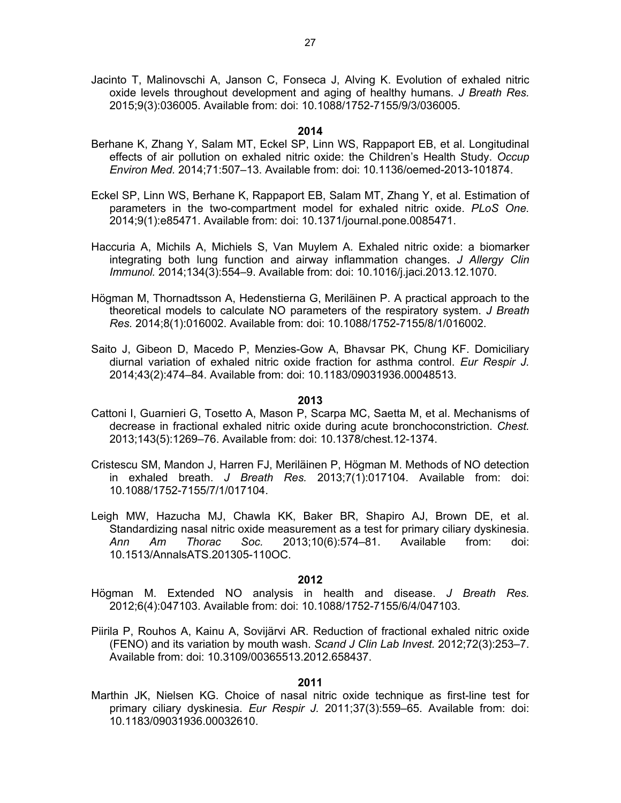Jacinto T, Malinovschi A, Janson C, Fonseca J, Alving K. Evolution of exhaled nitric oxide levels throughout development and aging of healthy humans. *J Breath Res.* 2015;9(3):036005. Available from: doi: 10.1088/1752-7155/9/3/036005.

#### **2014**

- Berhane K, Zhang Y, Salam MT, Eckel SP, Linn WS, Rappaport EB, et al. Longitudinal effects of air pollution on exhaled nitric oxide: the Children's Health Study. *Occup Environ Med.* 2014;71:507–13. Available from: doi: 10.1136/oemed-2013-101874.
- Eckel SP, Linn WS, Berhane K, Rappaport EB, Salam MT, Zhang Y, et al. Estimation of parameters in the two-compartment model for exhaled nitric oxide. *PLoS One.* 2014;9(1):e85471. Available from: doi: 10.1371/journal.pone.0085471.
- Haccuria A, Michils A, Michiels S, Van Muylem A. Exhaled nitric oxide: a biomarker integrating both lung function and airway inflammation changes. *J Allergy Clin Immunol.* 2014;134(3):554–9. Available from: doi: 10.1016/j.jaci.2013.12.1070.
- Högman M, Thornadtsson A, Hedenstierna G, Meriläinen P. A practical approach to the theoretical models to calculate NO parameters of the respiratory system. *J Breath Res.* 2014;8(1):016002. Available from: doi: 10.1088/1752-7155/8/1/016002.
- Saito J, Gibeon D, Macedo P, Menzies-Gow A, Bhavsar PK, Chung KF. Domiciliary diurnal variation of exhaled nitric oxide fraction for asthma control. *Eur Respir J.* 2014;43(2):474–84. Available from: doi: 10.1183/09031936.00048513.

#### **2013**

- Cattoni I, Guarnieri G, Tosetto A, Mason P, Scarpa MC, Saetta M, et al. Mechanisms of decrease in fractional exhaled nitric oxide during acute bronchoconstriction. *Chest.* 2013;143(5):1269–76. Available from: doi: 10.1378/chest.12-1374.
- Cristescu SM, Mandon J, Harren FJ, Meriläinen P, Högman M. Methods of NO detection in exhaled breath. *J Breath Res.* 2013;7(1):017104. Available from: doi: 10.1088/1752-7155/7/1/017104.
- Leigh MW, Hazucha MJ, Chawla KK, Baker BR, Shapiro AJ, Brown DE, et al. Standardizing nasal nitric oxide measurement as a test for primary ciliary dyskinesia.<br>
Ann Am Thorac Soc. 2013:10(6):574–81. Available from: doi: *Ann Am Thorac Soc.* 2013;10(6):574–81. Available from: doi: 10.1513/AnnalsATS.201305-110OC.

#### **2012**

- Högman M. Extended NO analysis in health and disease. *J Breath Res.* 2012;6(4):047103. Available from: doi: 10.1088/1752-7155/6/4/047103.
- Piirila P, Rouhos A, Kainu A, Sovijärvi AR. Reduction of fractional exhaled nitric oxide (FENO) and its variation by mouth wash. *Scand J Clin Lab Invest.* 2012;72(3):253–7. Available from: doi: 10.3109/00365513.2012.658437.

#### **2011**

Marthin JK, Nielsen KG. Choice of nasal nitric oxide technique as first-line test for primary ciliary dyskinesia. *Eur Respir J.* 2011;37(3):559–65. Available from: doi: 10.1183/09031936.00032610.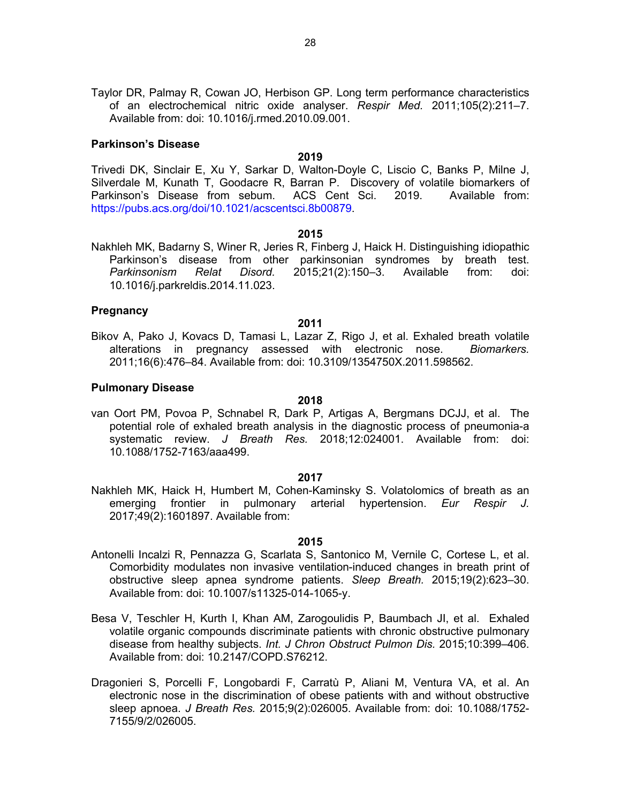Taylor DR, Palmay R, Cowan JO, Herbison GP. Long term performance characteristics of an electrochemical nitric oxide analyser. *Respir Med.* 2011;105(2):211–7. Available from: doi: 10.1016/j.rmed.2010.09.001.

#### **Parkinson's Disease**

#### **2019**

Trivedi DK, Sinclair E, Xu Y, Sarkar D, Walton-Doyle C, Liscio C, Banks P, Milne J, Silverdale M, Kunath T, Goodacre R, Barran P. Discovery of volatile biomarkers of Parkinson's Disease from sebum. ACS Cent Sci. 2019. Available from: https://pubs.acs.org/doi/10.1021/acscentsci.8b00879.

#### **2015**

Nakhleh MK, Badarny S, Winer R, Jeries R, Finberg J, Haick H. Distinguishing idiopathic Parkinson's disease from other parkinsonian syndromes by breath test. *Parkinsonism Relat Disord.* 2015;21(2):150–3. Available from: doi: 10.1016/j.parkreldis.2014.11.023.

#### **Pregnancy**

#### **2011**

Bikov A, Pako J, Kovacs D, Tamasi L, Lazar Z, Rigo J, et al. Exhaled breath volatile alterations in pregnancy assessed with electronic nose. *Biomarkers.* 2011;16(6):476–84. Available from: doi: 10.3109/1354750X.2011.598562.

#### **Pulmonary Disease**

#### **2018**

van Oort PM, Povoa P, Schnabel R, Dark P, Artigas A, Bergmans DCJJ, et al. The potential role of exhaled breath analysis in the diagnostic process of pneumonia-a systematic review. *J Breath Res.* 2018;12:024001. Available from: doi: 10.1088/1752-7163/aaa499.

#### **2017**

Nakhleh MK, Haick H, Humbert M, Cohen-Kaminsky S. Volatolomics of breath as an emerging frontier in pulmonary arterial hypertension. *Eur Respir J.* 2017;49(2):1601897. Available from:

- Antonelli Incalzi R, Pennazza G, Scarlata S, Santonico M, Vernile C, Cortese L, et al. Comorbidity modulates non invasive ventilation-induced changes in breath print of obstructive sleep apnea syndrome patients. *Sleep Breath.* 2015;19(2):623–30. Available from: doi: 10.1007/s11325-014-1065-y.
- Besa V, Teschler H, Kurth I, Khan AM, Zarogoulidis P, Baumbach JI, et al. Exhaled volatile organic compounds discriminate patients with chronic obstructive pulmonary disease from healthy subjects. *Int. J Chron Obstruct Pulmon Dis.* 2015;10:399–406. Available from: doi: 10.2147/COPD.S76212.
- Dragonieri S, Porcelli F, Longobardi F, Carratù P, Aliani M, Ventura VA, et al. An electronic nose in the discrimination of obese patients with and without obstructive sleep apnoea. *J Breath Res.* 2015;9(2):026005. Available from: doi: 10.1088/1752- 7155/9/2/026005.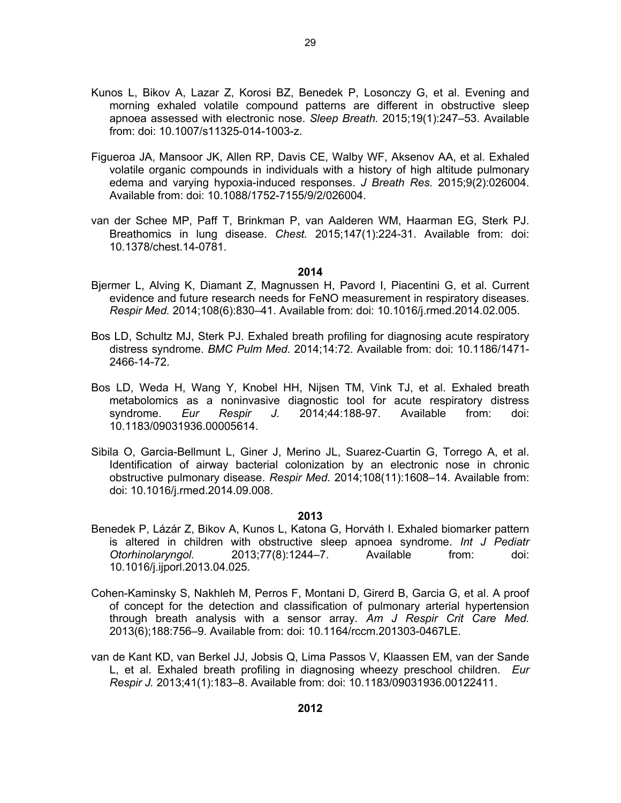- Kunos L, Bikov A, Lazar Z, Korosi BZ, Benedek P, Losonczy G, et al. Evening and morning exhaled volatile compound patterns are different in obstructive sleep apnoea assessed with electronic nose. *Sleep Breath.* 2015;19(1):247–53. Available from: doi: 10.1007/s11325-014-1003-z.
- Figueroa JA, Mansoor JK, Allen RP, Davis CE, Walby WF, Aksenov AA, et al. Exhaled volatile organic compounds in individuals with a history of high altitude pulmonary edema and varying hypoxia-induced responses. *J Breath Res.* 2015;9(2):026004. Available from: doi: 10.1088/1752-7155/9/2/026004.
- van der Schee MP, Paff T, Brinkman P, van Aalderen WM, Haarman EG, Sterk PJ. Breathomics in lung disease. *Chest.* 2015;147(1):224-31. Available from: doi: 10.1378/chest.14-0781.

- Bjermer L, Alving K, Diamant Z, Magnussen H, Pavord I, Piacentini G, et al. Current evidence and future research needs for FeNO measurement in respiratory diseases. *Respir Med.* 2014;108(6):830–41. Available from: doi: 10.1016/j.rmed.2014.02.005.
- Bos LD, Schultz MJ, Sterk PJ. Exhaled breath profiling for diagnosing acute respiratory distress syndrome. *BMC Pulm Med*. 2014;14:72. Available from: doi: 10.1186/1471- 2466-14-72.
- Bos LD, Weda H, Wang Y, Knobel HH, Nijsen TM, Vink TJ, et al. Exhaled breath metabolomics as a noninvasive diagnostic tool for acute respiratory distress syndrome. *Eur Respir J.* 2014;44:188-97. Available from: doi: 10.1183/09031936.00005614.
- Sibila O, Garcia-Bellmunt L, Giner J, Merino JL, Suarez-Cuartin G, Torrego A, et al. Identification of airway bacterial colonization by an electronic nose in chronic obstructive pulmonary disease. *Respir Med*. 2014;108(11):1608–14. Available from: doi: 10.1016/j.rmed.2014.09.008.

- Benedek P, Lázár Z, Bikov A, Kunos L, Katona G, Horváth I. Exhaled biomarker pattern is altered in children with obstructive sleep apnoea syndrome. *Int J Pediatr Otorhinolaryngol.* 2013;77(8):1244–7. Available from: doi: 10.1016/j.ijporl.2013.04.025.
- Cohen-Kaminsky S, Nakhleh M, Perros F, Montani D, Girerd B, Garcia G, et al. A proof of concept for the detection and classification of pulmonary arterial hypertension through breath analysis with a sensor array. *Am J Respir Crit Care Med.* 2013(6);188:756–9. Available from: doi: 10.1164/rccm.201303-0467LE.
- van de Kant KD, van Berkel JJ, Jobsis Q, Lima Passos V, Klaassen EM, van der Sande L, et al. Exhaled breath profiling in diagnosing wheezy preschool children. *Eur Respir J.* 2013;41(1):183–8. Available from: doi: 10.1183/09031936.00122411.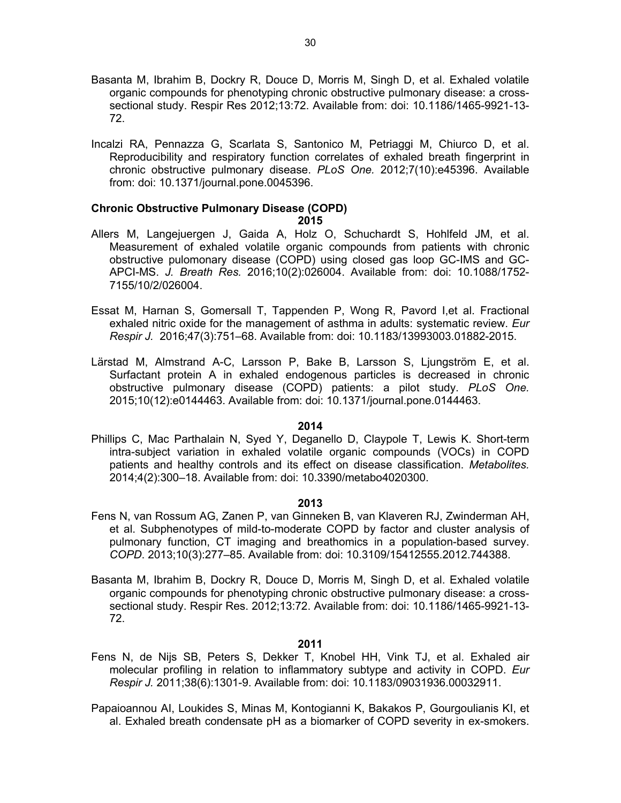- Basanta M, Ibrahim B, Dockry R, Douce D, Morris M, Singh D, et al. Exhaled volatile organic compounds for phenotyping chronic obstructive pulmonary disease: a crosssectional study. Respir Res 2012;13:72. Available from: doi: 10.1186/1465-9921-13- 72.
- Incalzi RA, Pennazza G, Scarlata S, Santonico M, Petriaggi M, Chiurco D, et al. Reproducibility and respiratory function correlates of exhaled breath fingerprint in chronic obstructive pulmonary disease. *PLoS One.* 2012;7(10):e45396. Available from: doi: 10.1371/journal.pone.0045396.

#### **Chronic Obstructive Pulmonary Disease (COPD) 2015**

- Allers M, Langejuergen J, Gaida A, Holz O, Schuchardt S, Hohlfeld JM, et al. Measurement of exhaled volatile organic compounds from patients with chronic obstructive pulomonary disease (COPD) using closed gas loop GC-IMS and GC-APCI-MS. *J. Breath Res.* 2016;10(2):026004. Available from: doi: 10.1088/1752- 7155/10/2/026004.
- Essat M, Harnan S, Gomersall T, Tappenden P, Wong R, Pavord I,et al. Fractional exhaled nitric oxide for the management of asthma in adults: systematic review. *Eur Respir J.* 2016;47(3):751–68. Available from: doi: 10.1183/13993003.01882-2015.
- Lärstad M, Almstrand A-C, Larsson P, Bake B, Larsson S, Ljungström E, et al. Surfactant protein A in exhaled endogenous particles is decreased in chronic obstructive pulmonary disease (COPD) patients: a pilot study. *PLoS One.* 2015;10(12):e0144463. Available from: doi: 10.1371/journal.pone.0144463.

#### **2014**

Phillips C, Mac Parthalain N, Syed Y, Deganello D, Claypole T, Lewis K. Short-term intra-subject variation in exhaled volatile organic compounds (VOCs) in COPD patients and healthy controls and its effect on disease classification. *Metabolites.* 2014;4(2):300–18. Available from: doi: 10.3390/metabo4020300.

#### **2013**

- Fens N, van Rossum AG, Zanen P, van Ginneken B, van Klaveren RJ, Zwinderman AH, et al. Subphenotypes of mild-to-moderate COPD by factor and cluster analysis of pulmonary function, CT imaging and breathomics in a population-based survey. *COPD*. 2013;10(3):277–85. Available from: doi: 10.3109/15412555.2012.744388.
- Basanta M, Ibrahim B, Dockry R, Douce D, Morris M, Singh D, et al. Exhaled volatile organic compounds for phenotyping chronic obstructive pulmonary disease: a crosssectional study. Respir Res. 2012;13:72. Available from: doi: 10.1186/1465-9921-13- 72.

- Fens N, de Nijs SB, Peters S, Dekker T, Knobel HH, Vink TJ, et al. Exhaled air molecular profiling in relation to inflammatory subtype and activity in COPD. *Eur Respir J.* 2011;38(6):1301-9. Available from: doi: 10.1183/09031936.00032911.
- Papaioannou AI, Loukides S, Minas M, Kontogianni K, Bakakos P, Gourgoulianis KI, et al. Exhaled breath condensate pH as a biomarker of COPD severity in ex-smokers.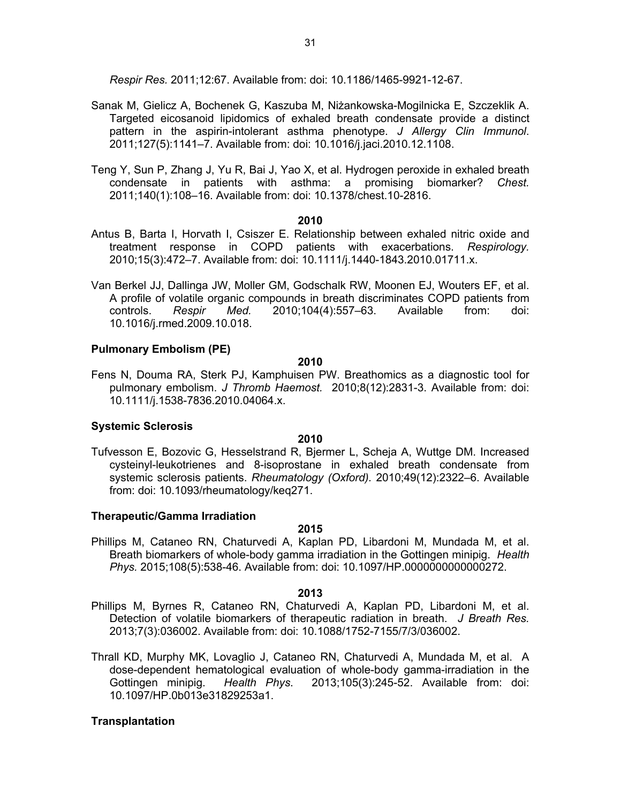*Respir Res.* 2011;12:67. Available from: doi: 10.1186/1465-9921-12-67.

- Sanak M, Gielicz A, Bochenek G, Kaszuba M, Niżankowska-Mogilnicka E, Szczeklik A. Targeted eicosanoid lipidomics of exhaled breath condensate provide a distinct pattern in the aspirin-intolerant asthma phenotype. *J Allergy Clin Immunol*. 2011;127(5):1141–7. Available from: doi: 10.1016/j.jaci.2010.12.1108.
- Teng Y, Sun P, Zhang J, Yu R, Bai J, Yao X, et al. Hydrogen peroxide in exhaled breath condensate in patients with asthma: a promising biomarker? *Chest.* 2011;140(1):108–16. Available from: doi: 10.1378/chest.10-2816.

#### **2010**

- Antus B, Barta I, Horvath I, Csiszer E. Relationship between exhaled nitric oxide and treatment response in COPD patients with exacerbations. *Respirology.* 2010;15(3):472–7. Available from: doi: 10.1111/j.1440-1843.2010.01711.x.
- Van Berkel JJ, Dallinga JW, Moller GM, Godschalk RW, Moonen EJ, Wouters EF, et al. A profile of volatile organic compounds in breath discriminates COPD patients from controls. *Respir Med.* 2010;104(4):557–63. Available from: doi: 10.1016/j.rmed.2009.10.018.

## **Pulmonary Embolism (PE)**

#### **2010**

Fens N, Douma RA, Sterk PJ, Kamphuisen PW. Breathomics as a diagnostic tool for pulmonary embolism. *J Thromb Haemost.* 2010;8(12):2831-3. Available from: doi: 10.1111/j.1538-7836.2010.04064.x.

#### **Systemic Sclerosis**

#### **2010**

Tufvesson E, Bozovic G, Hesselstrand R, Bjermer L, Scheja A, Wuttge DM. Increased cysteinyl-leukotrienes and 8-isoprostane in exhaled breath condensate from systemic sclerosis patients. *Rheumatology (Oxford).* 2010;49(12):2322–6. Available from: doi: 10.1093/rheumatology/keq271.

#### **Therapeutic/Gamma Irradiation**

#### **2015**

Phillips M, Cataneo RN, Chaturvedi A, Kaplan PD, Libardoni M, Mundada M, et al. Breath biomarkers of whole-body gamma irradiation in the Gottingen minipig. *Health Phys.* 2015;108(5):538-46. Available from: doi: 10.1097/HP.0000000000000272.

#### **2013**

- Phillips M, Byrnes R, Cataneo RN, Chaturvedi A, Kaplan PD, Libardoni M, et al. Detection of volatile biomarkers of therapeutic radiation in breath. *J Breath Res.* 2013;7(3):036002. Available from: doi: 10.1088/1752-7155/7/3/036002.
- Thrall KD, Murphy MK, Lovaglio J, Cataneo RN, Chaturvedi A, Mundada M, et al. A dose-dependent hematological evaluation of whole-body gamma-irradiation in the Gottingen minipig. *Health Phys*. 2013;105(3):245-52. Available from: doi: 10.1097/HP.0b013e31829253a1.

# **Transplantation**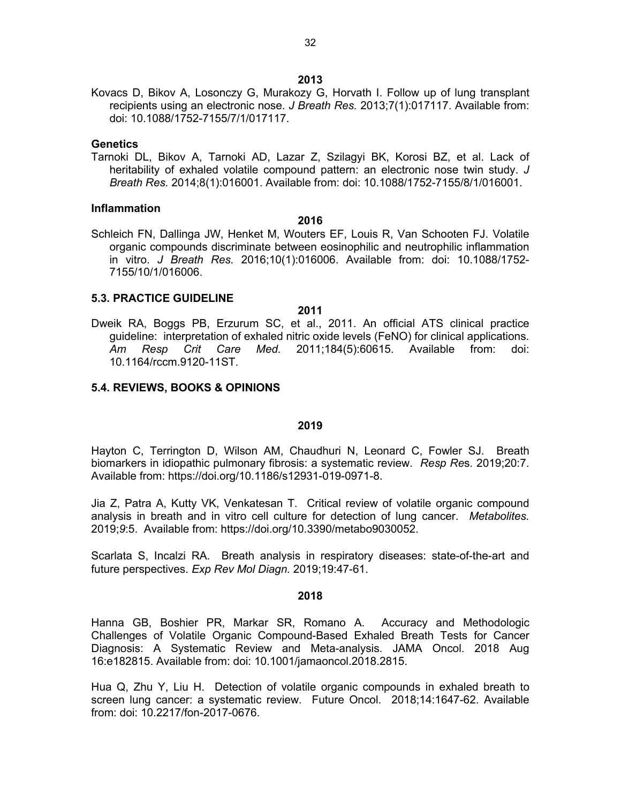Kovacs D, Bikov A, Losonczy G, Murakozy G, Horvath I. Follow up of lung transplant recipients using an electronic nose. *J Breath Res.* 2013;7(1):017117. Available from: doi: 10.1088/1752-7155/7/1/017117.

#### **Genetics**

Tarnoki DL, Bikov A, Tarnoki AD, Lazar Z, Szilagyi BK, Korosi BZ, et al. Lack of heritability of exhaled volatile compound pattern: an electronic nose twin study. *J Breath Res.* 2014;8(1):016001. Available from: doi: 10.1088/1752-7155/8/1/016001.

#### **Inflammation**

#### **2016**

Schleich FN, Dallinga JW, Henket M, Wouters EF, Louis R, Van Schooten FJ. Volatile organic compounds discriminate between eosinophilic and neutrophilic inflammation in vitro. *J Breath Res.* 2016;10(1):016006. Available from: doi: 10.1088/1752- 7155/10/1/016006.

#### **5.3. PRACTICE GUIDELINE**

#### **2011**

Dweik RA, Boggs PB, Erzurum SC, et al., 2011. An official ATS clinical practice guideline: interpretation of exhaled nitric oxide levels (FeNO) for clinical applications. *Am Resp Crit Care Med.* 2011;184(5):60615. Available from: doi: 10.1164/rccm.9120-11ST.

#### **5.4. REVIEWS, BOOKS & OPINIONS**

#### **2019**

Hayton C, Terrington D, Wilson AM, Chaudhuri N, Leonard C, Fowler SJ. Breath biomarkers in idiopathic pulmonary fibrosis: a systematic review. *Resp Re*s. 2019;20:7. Available from: https://doi.org/10.1186/s12931-019-0971-8.

Jia Z, Patra A, Kutty VK, Venkatesan T. Critical review of volatile organic compound analysis in breath and in vitro cell culture for detection of lung cancer. *Metabolites.* 2019;*9*:5. Available from: https://doi.org/10.3390/metabo9030052.

Scarlata S, Incalzi RA. Breath analysis in respiratory diseases: state-of-the-art and future perspectives. *Exp Rev Mol Diagn.* 2019;19:47-61.

#### **2018**

Hanna GB, Boshier PR, Markar SR, Romano A. Accuracy and Methodologic Challenges of Volatile Organic Compound-Based Exhaled Breath Tests for Cancer Diagnosis: A Systematic Review and Meta-analysis. JAMA Oncol. 2018 Aug 16:e182815. Available from: doi: 10.1001/jamaoncol.2018.2815.

Hua Q, Zhu Y, Liu H. Detection of volatile organic compounds in exhaled breath to screen lung cancer: a systematic review. Future Oncol. 2018;14:1647-62. Available from: doi: 10.2217/fon-2017-0676.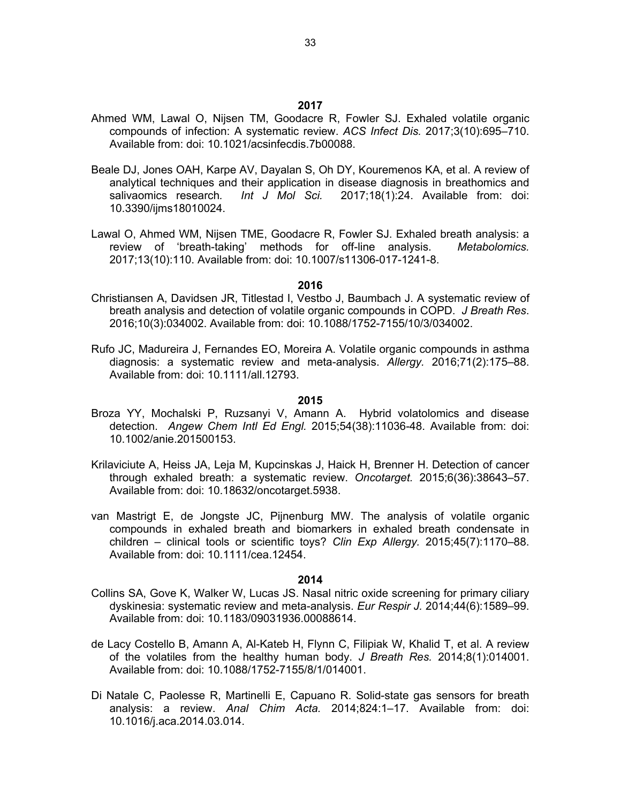- Ahmed WM, Lawal O, Nijsen TM, Goodacre R, Fowler SJ. Exhaled volatile organic compounds of infection: A systematic review. *ACS Infect Dis.* 2017;3(10):695–710. Available from: doi: 10.1021/acsinfecdis.7b00088.
- Beale DJ, Jones OAH, Karpe AV, Dayalan S, Oh DY, Kouremenos KA, et al. A review of analytical techniques and their application in disease diagnosis in breathomics and salivaomics research*. Int J Mol Sci.* 2017;18(1):24. Available from: doi: 10.3390/ijms18010024.
- Lawal O, Ahmed WM, Nijsen TME, Goodacre R, Fowler SJ. Exhaled breath analysis: a review of 'breath-taking' methods for off-line analysis. *Metabolomics.* 2017;13(10):110. Available from: doi: 10.1007/s11306-017-1241-8.

- Christiansen A, Davidsen JR, Titlestad I, Vestbo J, Baumbach J. A systematic review of breath analysis and detection of volatile organic compounds in COPD. *J Breath Res*. 2016;10(3):034002. Available from: doi: 10.1088/1752-7155/10/3/034002.
- Rufo JC, Madureira J, Fernandes EO, Moreira A. Volatile organic compounds in asthma diagnosis: a systematic review and meta-analysis. *Allergy.* 2016;71(2):175–88. Available from: doi: 10.1111/all.12793.

#### **2015**

- Broza YY, Mochalski P, Ruzsanyi V, Amann A. Hybrid volatolomics and disease detection. *Angew Chem Intl Ed Engl.* 2015;54(38):11036-48. Available from: doi: 10.1002/anie.201500153.
- Krilaviciute A, Heiss JA, Leja M, Kupcinskas J, Haick H, Brenner H. Detection of cancer through exhaled breath: a systematic review. *Oncotarget.* 2015;6(36):38643–57. Available from: doi: 10.18632/oncotarget.5938.
- van Mastrigt E, de Jongste JC, Pijnenburg MW. The analysis of volatile organic compounds in exhaled breath and biomarkers in exhaled breath condensate in children – clinical tools or scientific toys? *Clin Exp Allergy.* 2015;45(7):1170–88. Available from: doi: 10.1111/cea.12454.

- Collins SA, Gove K, Walker W, Lucas JS. Nasal nitric oxide screening for primary ciliary dyskinesia: systematic review and meta-analysis. *Eur Respir J.* 2014;44(6):1589–99. Available from: doi: 10.1183/09031936.00088614.
- de Lacy Costello B, Amann A, Al-Kateb H, Flynn C, Filipiak W, Khalid T, et al. A review of the volatiles from the healthy human body. *J Breath Res.* 2014;8(1):014001. Available from: doi: 10.1088/1752-7155/8/1/014001.
- Di Natale C, Paolesse R, Martinelli E, Capuano R. Solid-state gas sensors for breath analysis: a review. *Anal Chim Acta.* 2014;824:1–17. Available from: doi: 10.1016/j.aca.2014.03.014.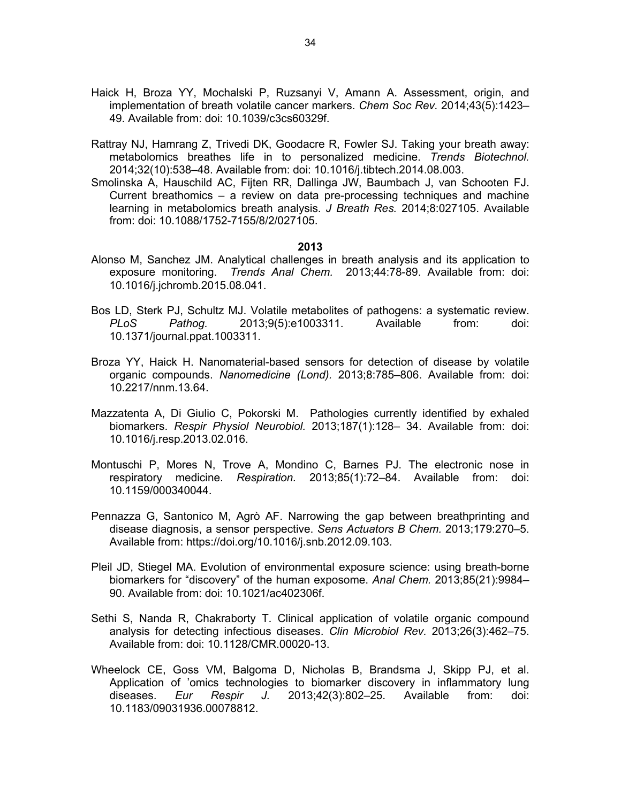- Haick H, Broza YY, Mochalski P, Ruzsanyi V, Amann A. Assessment, origin, and implementation of breath volatile cancer markers. *Chem Soc Rev.* 2014;43(5):1423– 49. Available from: doi: 10.1039/c3cs60329f.
- Rattray NJ, Hamrang Z, Trivedi DK, Goodacre R, Fowler SJ. Taking your breath away: metabolomics breathes life in to personalized medicine. *Trends Biotechnol.* 2014;32(10):538–48. Available from: doi: 10.1016/j.tibtech.2014.08.003.
- Smolinska A, Hauschild AC, Fijten RR, Dallinga JW, Baumbach J, van Schooten FJ. Current breathomics – a review on data pre-processing techniques and machine learning in metabolomics breath analysis. *J Breath Res.* 2014;8:027105. Available from: doi: 10.1088/1752-7155/8/2/027105.

- Alonso M, Sanchez JM. Analytical challenges in breath analysis and its application to exposure monitoring. *Trends Anal Chem.* 2013;44:78-89. Available from: doi: 10.1016/j.jchromb.2015.08.041.
- Bos LD, Sterk PJ, Schultz MJ. Volatile metabolites of pathogens: a systematic review. *PLoS Pathog.* 2013;9(5):e1003311. Available from: doi: 10.1371/journal.ppat.1003311.
- Broza YY, Haick H. Nanomaterial-based sensors for detection of disease by volatile organic compounds. *Nanomedicine (Lond).* 2013;8:785–806. Available from: doi: 10.2217/nnm.13.64.
- Mazzatenta A, Di Giulio C, Pokorski M. Pathologies currently identified by exhaled biomarkers. *Respir Physiol Neurobiol.* 2013;187(1):128– 34. Available from: doi: 10.1016/j.resp.2013.02.016.
- Montuschi P, Mores N, Trove A, Mondino C, Barnes PJ. The electronic nose in respiratory medicine. *Respiration.* 2013;85(1):72–84. Available from: doi: 10.1159/000340044.
- Pennazza G, Santonico M, Agrò AF. Narrowing the gap between breathprinting and disease diagnosis, a sensor perspective. *Sens Actuators B Chem.* 2013;179:270–5. Available from: https://doi.org/10.1016/j.snb.2012.09.103.
- Pleil JD, Stiegel MA. Evolution of environmental exposure science: using breath-borne biomarkers for "discovery" of the human exposome. *Anal Chem.* 2013;85(21):9984– 90. Available from: doi: 10.1021/ac402306f.
- Sethi S, Nanda R, Chakraborty T. Clinical application of volatile organic compound analysis for detecting infectious diseases. *Clin Microbiol Rev.* 2013;26(3):462–75. Available from: doi: 10.1128/CMR.00020-13.
- Wheelock CE, Goss VM, Balgoma D, Nicholas B, Brandsma J, Skipp PJ, et al. Application of 'omics technologies to biomarker discovery in inflammatory lung diseases. *Eur Respir J.* 2013;42(3):802–25. Available from: doi: 10.1183/09031936.00078812.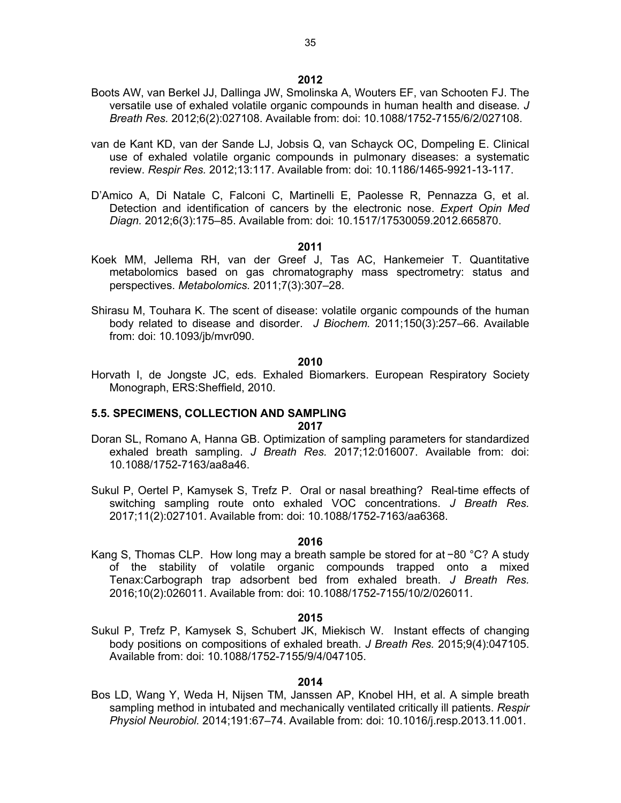- Boots AW, van Berkel JJ, Dallinga JW, Smolinska A, Wouters EF, van Schooten FJ. The versatile use of exhaled volatile organic compounds in human health and disease*. J Breath Res.* 2012;6(2):027108. Available from: doi: 10.1088/1752-7155/6/2/027108.
- van de Kant KD, van der Sande LJ, Jobsis Q, van Schayck OC, Dompeling E. Clinical use of exhaled volatile organic compounds in pulmonary diseases: a systematic review. *Respir Res.* 2012;13:117. Available from: doi: 10.1186/1465-9921-13-117.
- D'Amico A, Di Natale C, Falconi C, Martinelli E, Paolesse R, Pennazza G, et al. Detection and identification of cancers by the electronic nose. *Expert Opin Med Diagn.* 2012;6(3):175–85. Available from: doi: 10.1517/17530059.2012.665870.

- Koek MM, Jellema RH, van der Greef J, Tas AC, Hankemeier T. Quantitative metabolomics based on gas chromatography mass spectrometry: status and perspectives. *Metabolomics.* 2011;7(3):307–28.
- Shirasu M, Touhara K. The scent of disease: volatile organic compounds of the human body related to disease and disorder. *J Biochem.* 2011;150(3):257–66. Available from: doi: 10.1093/jb/mvr090.

#### **2010**

Horvath I, de Jongste JC, eds. Exhaled Biomarkers. European Respiratory Society Monograph, ERS:Sheffield, 2010.

#### **5.5. SPECIMENS, COLLECTION AND SAMPLING 2017**

- Doran SL, Romano A, Hanna GB. Optimization of sampling parameters for standardized exhaled breath sampling. *J Breath Res.* 2017;12:016007. Available from: doi: 10.1088/1752-7163/aa8a46.
- Sukul P, Oertel P, Kamysek S, Trefz P. Oral or nasal breathing? Real-time effects of switching sampling route onto exhaled VOC concentrations. *J Breath Res.* 2017;11(2):027101. Available from: doi: 10.1088/1752-7163/aa6368.

#### **2016**

Kang S, Thomas CLP. How long may a breath sample be stored for at −80 °C? A study of the stability of volatile organic compounds trapped onto a mixed Tenax:Carbograph trap adsorbent bed from exhaled breath. *J Breath Res.* 2016;10(2):026011. Available from: doi: 10.1088/1752-7155/10/2/026011.

#### **2015**

Sukul P, Trefz P, Kamysek S, Schubert JK, Miekisch W. Instant effects of changing body positions on compositions of exhaled breath. *J Breath Res.* 2015;9(4):047105. Available from: doi: 10.1088/1752-7155/9/4/047105.

#### **2014**

Bos LD, Wang Y, Weda H, Nijsen TM, Janssen AP, Knobel HH, et al. A simple breath sampling method in intubated and mechanically ventilated critically ill patients. *Respir Physiol Neurobiol.* 2014;191:67–74. Available from: doi: 10.1016/j.resp.2013.11.001.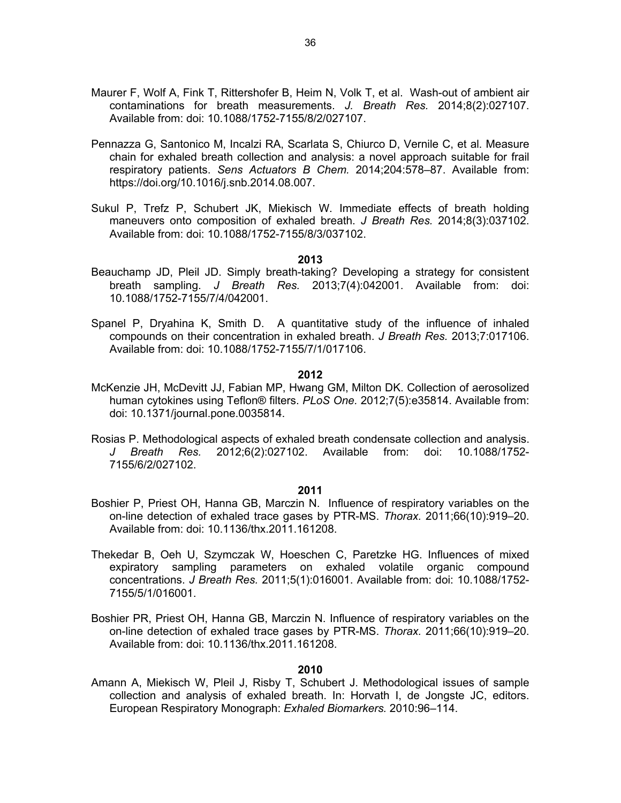- Maurer F, Wolf A, Fink T, Rittershofer B, Heim N, Volk T, et al. Wash-out of ambient air contaminations for breath measurements. *J. Breath Res.* 2014;8(2):027107. Available from: doi: 10.1088/1752-7155/8/2/027107.
- Pennazza G, Santonico M, Incalzi RA, Scarlata S, Chiurco D, Vernile C, et al. Measure chain for exhaled breath collection and analysis: a novel approach suitable for frail respiratory patients. *Sens Actuators B Chem.* 2014;204:578–87. Available from: https://doi.org/10.1016/j.snb.2014.08.007.
- Sukul P, Trefz P, Schubert JK, Miekisch W. Immediate effects of breath holding maneuvers onto composition of exhaled breath. *J Breath Res.* 2014;8(3):037102. Available from: doi: 10.1088/1752-7155/8/3/037102.

- Beauchamp JD, Pleil JD. Simply breath-taking? Developing a strategy for consistent breath sampling. *J Breath Res.* 2013;7(4):042001. Available from: doi: 10.1088/1752-7155/7/4/042001.
- Spanel P, Dryahina K, Smith D. A quantitative study of the influence of inhaled compounds on their concentration in exhaled breath. *J Breath Res.* 2013;7:017106. Available from: doi: 10.1088/1752-7155/7/1/017106.

#### **2012**

- McKenzie JH, McDevitt JJ, Fabian MP, Hwang GM, Milton DK. Collection of aerosolized human cytokines using Teflon® filters. *PLoS One.* 2012;7(5):e35814. Available from: doi: 10.1371/journal.pone.0035814.
- Rosias P. Methodological aspects of exhaled breath condensate collection and analysis. *J Breath Res.* 2012;6(2):027102. Available from: doi: 10.1088/1752- 7155/6/2/027102.

#### **2011**

- Boshier P, Priest OH, Hanna GB, Marczin N. Influence of respiratory variables on the on-line detection of exhaled trace gases by PTR-MS. *Thorax.* 2011;66(10):919–20. Available from: doi: 10.1136/thx.2011.161208.
- Thekedar B, Oeh U, Szymczak W, Hoeschen C, Paretzke HG. Influences of mixed expiratory sampling parameters on exhaled volatile organic compound concentrations. *J Breath Res.* 2011;5(1):016001. Available from: doi: 10.1088/1752- 7155/5/1/016001.
- Boshier PR, Priest OH, Hanna GB, Marczin N. Influence of respiratory variables on the on-line detection of exhaled trace gases by PTR-MS. *Thorax.* 2011;66(10):919–20. Available from: doi: 10.1136/thx.2011.161208.

#### **2010**

Amann A, Miekisch W, Pleil J, Risby T, Schubert J. Methodological issues of sample collection and analysis of exhaled breath. In: Horvath I, de Jongste JC, editors. European Respiratory Monograph: *Exhaled Biomarkers.* 2010:96–114.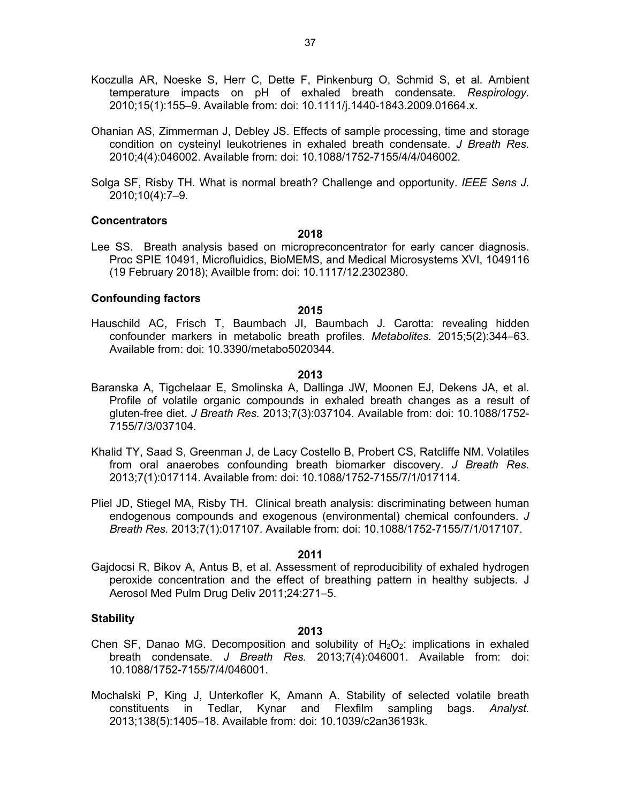- Koczulla AR, Noeske S, Herr C, Dette F, Pinkenburg O, Schmid S, et al. Ambient temperature impacts on pH of exhaled breath condensate. *Respirology.* 2010;15(1):155–9. Available from: doi: 10.1111/j.1440-1843.2009.01664.x.
- Ohanian AS, Zimmerman J, Debley JS. Effects of sample processing, time and storage condition on cysteinyl leukotrienes in exhaled breath condensate. *J Breath Res.* 2010;4(4):046002. Available from: doi: 10.1088/1752-7155/4/4/046002.
- Solga SF, Risby TH. What is normal breath? Challenge and opportunity. *IEEE Sens J.* 2010;10(4):7–9.

#### **Concentrators**

#### **2018**

Lee SS. Breath analysis based on micropreconcentrator for early cancer diagnosis. Proc SPIE 10491, Microfluidics, BioMEMS, and Medical Microsystems XVI, 1049116 (19 February 2018); Availble from: doi: 10.1117/12.2302380.

#### **Confounding factors**

#### **2015**

Hauschild AC, Frisch T, Baumbach JI, Baumbach J. Carotta: revealing hidden confounder markers in metabolic breath profiles. *Metabolites.* 2015;5(2):344–63. Available from: doi: 10.3390/metabo5020344.

#### **2013**

- Baranska A, Tigchelaar E, Smolinska A, Dallinga JW, Moonen EJ, Dekens JA, et al. Profile of volatile organic compounds in exhaled breath changes as a result of gluten-free diet. *J Breath Res.* 2013;7(3):037104. Available from: doi: 10.1088/1752- 7155/7/3/037104.
- Khalid TY, Saad S, Greenman J, de Lacy Costello B, Probert CS, Ratcliffe NM. Volatiles from oral anaerobes confounding breath biomarker discovery. *J Breath Res.* 2013;7(1):017114. Available from: doi: 10.1088/1752-7155/7/1/017114.
- Pliel JD, Stiegel MA, Risby TH. Clinical breath analysis: discriminating between human endogenous compounds and exogenous (environmental) chemical confounders. *J Breath Res.* 2013;7(1):017107. Available from: doi: 10.1088/1752-7155/7/1/017107.

#### **2011**

Gajdocsi R, Bikov A, Antus B, et al. Assessment of reproducibility of exhaled hydrogen peroxide concentration and the effect of breathing pattern in healthy subjects. J Aerosol Med Pulm Drug Deliv 2011;24:271–5.

## **Stability**

- Chen SF, Danao MG. Decomposition and solubility of  $H_2O_2$ : implications in exhaled breath condensate. *J Breath Res.* 2013;7(4):046001. Available from: doi: 10.1088/1752-7155/7/4/046001.
- Mochalski P, King J, Unterkofler K, Amann A. Stability of selected volatile breath constituents in Tedlar, Kynar and Flexfilm sampling bags. *Analyst.* 2013;138(5):1405–18. Available from: doi: 10.1039/c2an36193k.